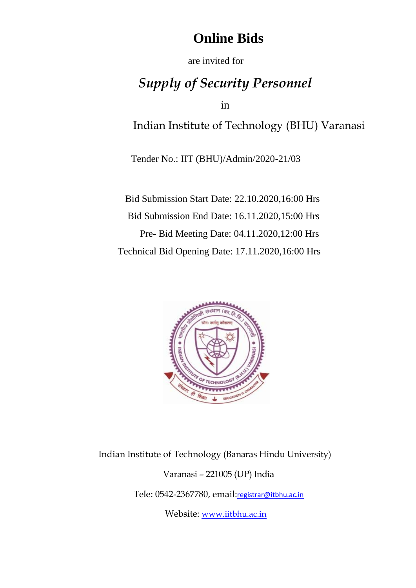# **Online Bids**

are invited for

# *Supply of Security Personnel*

in

Indian Institute of Technology (BHU) Varanasi

Tender No.: IIT (BHU)/Admin/2020-21/03

 Bid Submission Start Date: 22.10.2020,16:00 Hrs Bid Submission End Date: 16.11.2020,15:00 Hrs Pre- Bid Meeting Date: 04.11.2020,12:00 Hrs Technical Bid Opening Date: 17.11.2020,16:00 Hrs



Indian Institute of Technology (Banaras Hindu University)

Varanasi – 221005 (UP) India

Tele: 0542-2367780, email:registrar@itbhu.ac.in

Website: [www.iitbhu.ac.in](http://www.iitbhu.ac.in/)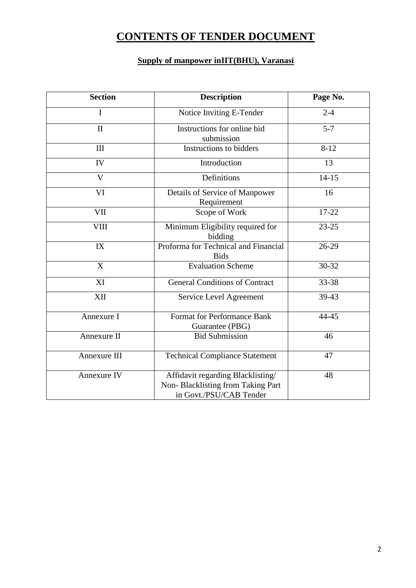### **CONTENTS OF TENDER DOCUMENT**

### **Supply of manpower inIIT(BHU), Varanasi**

| <b>Section</b>          | <b>Description</b>                                                                                | Page No.  |
|-------------------------|---------------------------------------------------------------------------------------------------|-----------|
| I                       | Notice Inviting E-Tender                                                                          | $2 - 4$   |
| $\mathbf{I}$            | Instructions for online bid<br>submission                                                         | $5 - 7$   |
| III                     | Instructions to bidders                                                                           | $8 - 12$  |
| IV                      | Introduction                                                                                      | 13        |
| $\overline{\mathsf{V}}$ | Definitions                                                                                       | $14 - 15$ |
| VI                      | Details of Service of Manpower<br>Requirement                                                     | 16        |
| <b>VII</b>              | Scope of Work                                                                                     | 17-22     |
| <b>VIII</b>             | Minimum Eligibility required for<br>bidding                                                       | $23 - 25$ |
| IX                      | Proforma for Technical and Financial<br><b>Bids</b>                                               | 26-29     |
| X                       | <b>Evaluation Scheme</b>                                                                          | 30-32     |
| XI                      | <b>General Conditions of Contract</b>                                                             | 33-38     |
| XII                     | Service Level Agreement                                                                           | 39-43     |
| Annexure I              | Format for Performance Bank<br>Guarantee (PBG)                                                    | 44-45     |
| Annexure II             | <b>Bid Submission</b>                                                                             | 46        |
| Annexure III            | <b>Technical Compliance Statement</b>                                                             | 47        |
| Annexure IV             | Affidavit regarding Blacklisting/<br>Non-Blacklisting from Taking Part<br>in Govt./PSU/CAB Tender | 48        |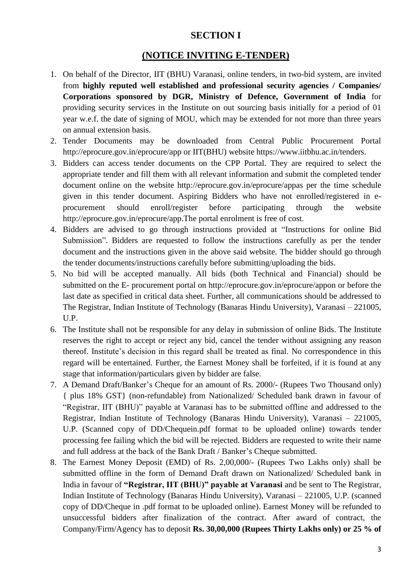### **SECTION I**

### **(NOTICE INVITING E-TENDER)**

- 1. On behalf of the Director, IIT (BHU) Varanasi, online tenders, in two-bid system, are invited from **highly reputed well established and professional security agencies / Companies/ Corporations sponsored by DGR, Ministry of Defence, Government of India** for providing security services in the Institute on out sourcing basis initially for a period of 01 year w.e.f. the date of signing of MOU, which may be extended for not more than three years on annual extension basis.
- 2. Tender Documents may be downloaded from Central Public Procurement Portal http://eprocure.gov.in/eprocure/app or IIT(BHU) website https://www.iitbhu.ac.in/tenders.
- 3. Bidders can access tender documents on the CPP Portal. They are required to select the appropriate tender and fill them with all relevant information and submit the completed tender document online on the website http://eprocure.gov.in/eprocure/appas per the time schedule given in this tender document. Aspiring Bidders who have not enrolled/registered in eprocurement should enroll/register before participating through the website http://eprocure.gov.in/eprocure/app.The portal enrolment is free of cost.
- 4. Bidders are advised to go through instructions provided at "Instructions for online Bid Submission". Bidders are requested to follow the instructions carefully as per the tender document and the instructions given in the above said website. The bidder should go through the tender documents/instructions carefully before submitting/uploading the bids.
- 5. No bid will be accepted manually. All bids (both Technical and Financial) should be submitted on the E- procurement portal on http://eprocure.gov.in/eprocure/appon or before the last date as specified in critical data sheet. Further, all communications should be addressed to The Registrar, Indian Institute of Technology (Banaras Hindu University), Varanasi – 221005, U.P.
- 6. The Institute shall not be responsible for any delay in submission of online Bids. The Institute reserves the right to accept or reject any bid, cancel the tender without assigning any reason thereof. Institute"s decision in this regard shall be treated as final. No correspondence in this regard will be entertained. Further, the Earnest Money shall be forfeited, if it is found at any stage that information/particulars given by bidder are false.
- 7. A Demand Draft/Banker"s Cheque for an amount of Rs. 2000/- (Rupees Two Thousand only) { plus 18% GST} (non-refundable) from Nationalized/ Scheduled bank drawn in favour of "Registrar, IIT (BHU)" payable at Varanasi has to be submitted offline and addressed to the Registrar, Indian Institute of Technology (Banaras Hindu University), Varanasi – 221005, U.P. (Scanned copy of DD/Chequein.pdf format to be uploaded online) towards tender processing fee failing which the bid will be rejected. Bidders are requested to write their name and full address at the back of the Bank Draft / Banker"s Cheque submitted.
- 8. The Earnest Money Deposit (EMD) of Rs. 2,00,000/- (Rupees Two Lakhs only) shall be submitted offline in the form of Demand Draft drawn on Nationalized/ Scheduled bank in India in favour of **"Registrar, IIT (BHU)" payable at Varanasi** and be sent to The Registrar, Indian Institute of Technology (Banaras Hindu University), Varanasi – 221005, U.P. (scanned copy of DD/Cheque in .pdf format to be uploaded online). Earnest Money will be refunded to unsuccessful bidders after finalization of the contract. After award of contract, the Company/Firm/Agency has to deposit **Rs. 30,00,000 (Rupees Thirty Lakhs only) or 25 % of**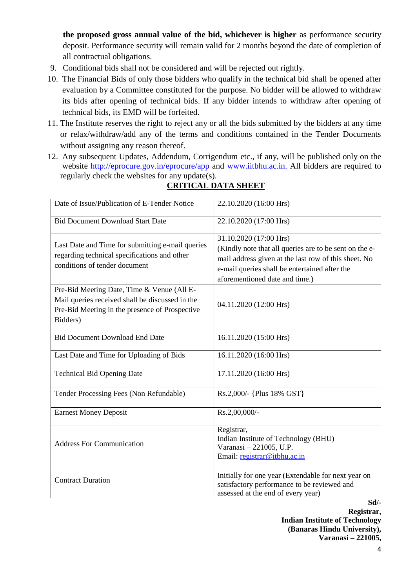**the proposed gross annual value of the bid, whichever is higher** as performance security deposit. Performance security will remain valid for 2 months beyond the date of completion of all contractual obligations.

- 9. Conditional bids shall not be considered and will be rejected out rightly.
- 10. The Financial Bids of only those bidders who qualify in the technical bid shall be opened after evaluation by a Committee constituted for the purpose. No bidder will be allowed to withdraw its bids after opening of technical bids. If any bidder intends to withdraw after opening of technical bids, its EMD will be forfeited.
- 11. The Institute reserves the right to reject any or all the bids submitted by the bidders at any time or relax/withdraw/add any of the terms and conditions contained in the Tender Documents without assigning any reason thereof.
- 12. Any subsequent Updates, Addendum, Corrigendum etc., if any, will be published only on the website http://eprocure.gov.in/eprocure/app and www.iitbhu.ac.in. All bidders are required to regularly check the websites for any update(s).

| Date of Issue/Publication of E-Tender Notice                                                                                                                | 22.10.2020 (16:00 Hrs)                                                                                                                                                                                                      |
|-------------------------------------------------------------------------------------------------------------------------------------------------------------|-----------------------------------------------------------------------------------------------------------------------------------------------------------------------------------------------------------------------------|
| <b>Bid Document Download Start Date</b>                                                                                                                     | 22.10.2020 (17:00 Hrs)                                                                                                                                                                                                      |
| Last Date and Time for submitting e-mail queries<br>regarding technical specifications and other<br>conditions of tender document                           | 31.10.2020 (17:00 Hrs)<br>(Kindly note that all queries are to be sent on the e-<br>mail address given at the last row of this sheet. No<br>e-mail queries shall be entertained after the<br>aforementioned date and time.) |
| Pre-Bid Meeting Date, Time & Venue (All E-<br>Mail queries received shall be discussed in the<br>Pre-Bid Meeting in the presence of Prospective<br>Bidders) | 04.11.2020 (12:00 Hrs)                                                                                                                                                                                                      |
| <b>Bid Document Download End Date</b>                                                                                                                       | 16.11.2020 (15:00 Hrs)                                                                                                                                                                                                      |
| Last Date and Time for Uploading of Bids                                                                                                                    | 16.11.2020 (16:00 Hrs)                                                                                                                                                                                                      |
| <b>Technical Bid Opening Date</b>                                                                                                                           | 17.11.2020 (16:00 Hrs)                                                                                                                                                                                                      |
| Tender Processing Fees (Non Refundable)                                                                                                                     | Rs.2,000/- {Plus 18% GST}                                                                                                                                                                                                   |
| <b>Earnest Money Deposit</b>                                                                                                                                | Rs.2,00,000/-                                                                                                                                                                                                               |
| <b>Address For Communication</b>                                                                                                                            | Registrar,<br>Indian Institute of Technology (BHU)<br>Varanasi - 221005, U.P.<br>Email: registrar@itbhu.ac.in                                                                                                               |
| <b>Contract Duration</b>                                                                                                                                    | Initially for one year (Extendable for next year on<br>satisfactory performance to be reviewed and<br>assessed at the end of every year)                                                                                    |

### **CRITICAL DATA SHEET**

**Registrar, Indian Institute of Technology (Banaras Hindu University), Varanasi – 221005,** 

**Sd/-**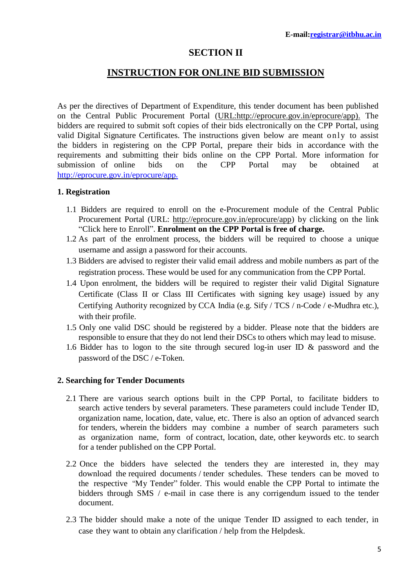### **SECTION II**

### **INSTRUCTION FOR ONLINE BID SUBMISSION**

As per the directives of Department of Expenditure, this tender document has been published on the Central Public Procurement Portal [\(URL:http://eprocure.gov.in/eprocure/app\).](http://eprocure.gov.in/eprocure/app) The bidders are required to submit soft copies of their bids electronically on the CPP Portal, using valid Digital Signature Certificates. The instructions given below are meant only to assist the bidders in registering on the CPP Portal, prepare their bids in accordance with the requirements and submitting their bids online on the CPP Portal. More information for submission of online bids on the CPP Portal may be obtained at <http://eprocure.gov.in/eprocure/app.>

### **1. Registration**

- 1.1 Bidders are required to enroll on the e-Procurement module of the Central Public Procurement Portal (URL: [http://eprocure.gov.in/eprocure/app\)](http://eprocure.gov.in/eprocure/app) by clicking on the link "Click here to Enroll". **Enrolment on the CPP Portal is free of charge.**
- 1.2 As part of the enrolment process, the bidders will be required to choose a unique username and assign a password for their accounts.
- 1.3 Bidders are advised to register their valid email address and mobile numbers as part of the registration process. These would be used for any communication from the CPP Portal.
- 1.4 Upon enrolment, the bidders will be required to register their valid Digital Signature Certificate (Class II or Class III Certificates with signing key usage) issued by any Certifying Authority recognized by CCA India (e.g. Sify / TCS / n-Code / e-Mudhra etc.), with their profile.
- 1.5 Only one valid DSC should be registered by a bidder. Please note that the bidders are responsible to ensure that they do not lend their DSCs to others which may lead to misuse.
- 1.6 Bidder has to logon to the site through secured log-in user ID & password and the password of the DSC / e-Token.

### **2. Searching for Tender Documents**

- 2.1 There are various search options built in the CPP Portal, to facilitate bidders to search active tenders by several parameters. These parameters could include Tender ID, organization name, location, date, value, etc. There is also an option of advanced search for tenders, wherein the bidders may combine a number of search parameters such as organization name, form of contract, location, date, other keywords etc. to search for a tender published on the CPP Portal.
- 2.2 Once the bidders have selected the tenders they are interested in, they may download the required documents / tender schedules. These tenders can be moved to the respective "My Tender" folder. This would enable the CPP Portal to intimate the bidders through SMS / e-mail in case there is any corrigendum issued to the tender document.
- 2.3 The bidder should make a note of the unique Tender ID assigned to each tender, in case they want to obtain any clarification / help from the Helpdesk.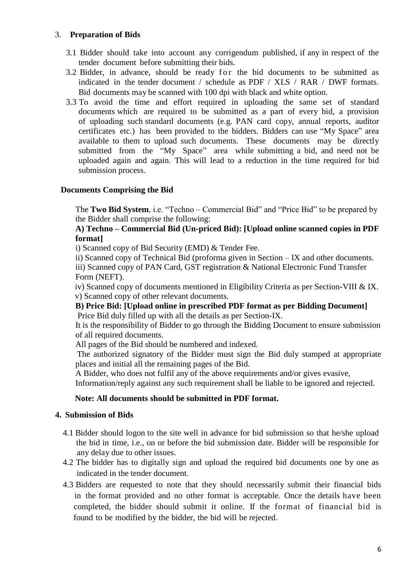### 3. **Preparation of Bids**

- 3.1 Bidder should take into account any corrigendum published, if any in respect of the tender document before submitting their bids.
- 3.2 Bidder, in advance, should be ready for the bid documents to be submitted as indicated in the tender document / schedule as PDF / XLS / RAR / DWF formats. Bid documents may be scanned with 100 dpi with black and white option.
- 3.3 To avoid the time and effort required in uploading the same set of standard documents which are required to be submitted as a part of every bid, a provision of uploading such standard documents (e.g. PAN card copy, annual reports, auditor certificates etc.) has been provided to the bidders. Bidders can use "My Space" area available to them to upload such documents. These documents may be directly submitted from the "My Space" area while submitting a bid, and need not be uploaded again and again. This will lead to a reduction in the time required for bid submission process.

### **Documents Comprising the Bid**

The **Two Bid System**, i.e. "Techno – Commercial Bid" and "Price Bid" to be prepared by the Bidder shall comprise the following:

### **A) Techno – Commercial Bid (Un-priced Bid): [Upload online scanned copies in PDF format]**

i) Scanned copy of Bid Security (EMD) & Tender Fee.

ii) Scanned copy of Technical Bid (proforma given in Section – IX and other documents. iii) Scanned copy of PAN Card, GST registration & National Electronic Fund Transfer Form (NEFT).

iv) Scanned copy of documents mentioned in Eligibility Criteria as per Section-VIII & IX. v) Scanned copy of other relevant documents.

### **B) Price Bid: [Upload online in prescribed PDF format as per Bidding Document]** Price Bid duly filled up with all the details as per Section-IX.

It is the responsibility of Bidder to go through the Bidding Document to ensure submission of all required documents.

All pages of the Bid should be numbered and indexed.

The authorized signatory of the Bidder must sign the Bid duly stamped at appropriate places and initial all the remaining pages of the Bid.

A Bidder, who does not fulfil any of the above requirements and/or gives evasive,

Information/reply against any such requirement shall be liable to be ignored and rejected.

### **Note: All documents should be submitted in PDF format.**

### **4. Submission of Bids**

- 4.1 Bidder should logon to the site well in advance for bid submission so that he/she upload the bid in time, i.e., on or before the bid submission date. Bidder will be responsible for any delay due to other issues.
- 4.2 The bidder has to digitally sign and upload the required bid documents one by one as indicated in the tender document.
- 4.3 Bidders are requested to note that they should necessarily submit their financial bids in the format provided and no other format is acceptable. Once the details have been completed, the bidder should submit it online. If the format of financial bid is found to be modified by the bidder, the bid will be rejected.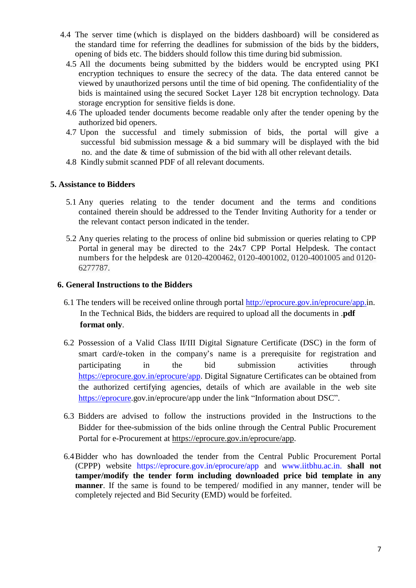- 4.4 The server time (which is displayed on the bidders dashboard) will be considered as the standard time for referring the deadlines for submission of the bids by the bidders, opening of bids etc. The bidders should follow this time during bid submission.
	- 4.5 All the documents being submitted by the bidders would be encrypted using PKI encryption techniques to ensure the secrecy of the data. The data entered cannot be viewed by unauthorized persons until the time of bid opening. The confidentiality of the bids is maintained using the secured Socket Layer 128 bit encryption technology. Data storage encryption for sensitive fields is done.
	- 4.6 The uploaded tender documents become readable only after the tender opening by the authorized bid openers.
	- 4.7 Upon the successful and timely submission of bids, the portal will give a successful bid submission message & a bid summary will be displayed with the bid no. and the date & time of submission of the bid with all other relevant details.
	- 4.8 Kindly submit scanned PDF of all relevant documents.

### **5. Assistance to Bidders**

- 5.1 Any queries relating to the tender document and the terms and conditions contained therein should be addressed to the Tender Inviting Authority for a tender or the relevant contact person indicated in the tender.
- 5.2 Any queries relating to the process of online bid submission or queries relating to CPP Portal in general may be directed to the 24x7 CPP Portal Helpdesk. The contact numbers for the helpdesk are 0120-4200462, 0120-4001002, 0120-4001005 and 0120- 6277787.

### **6. General Instructions to the Bidders**

- 6.1 The tenders will be received online through portal [http://eprocure.gov.in/eprocure/app.i](http://eprocure.gov.in/eprocure/app.)n. In the Technical Bids, the bidders are required to upload all the documents in .**pdf format only**.
- 6.2 Possession of a Valid Class II/III Digital Signature Certificate (DSC) in the form of smart card/e-token in the company's name is a prerequisite for registration and participating in the bid submission activities through [https://eprocure.gov.in/eprocure/app.](https://eprocure.gov.in/eprocure/app) Digital Signature Certificates can be obtained from the authorized certifying agencies, details of which are available in the web site [https://eprocure.](https://eprocure/)gov.in/eprocure/app under the link "Information about DSC".
- 6.3 Bidders are advised to follow the instructions provided in the Instructions to the Bidder for thee-submission of the bids online through the Central Public Procurement Portal for e-Procurement [at https://eprocure.gov.in/eprocure/app.](https://eprocure.gov.in/eprocure/app)
- 6.4Bidder who has downloaded the tender from the Central Public Procurement Portal (CPPP) website https://eprocure.gov.in/eprocure/app and www.iitbhu.ac.in. **shall not tamper/modify the tender form including downloaded price bid template in any manner**. If the same is found to be tempered/ modified in any manner, tender will be completely rejected and Bid Security (EMD) would be forfeited.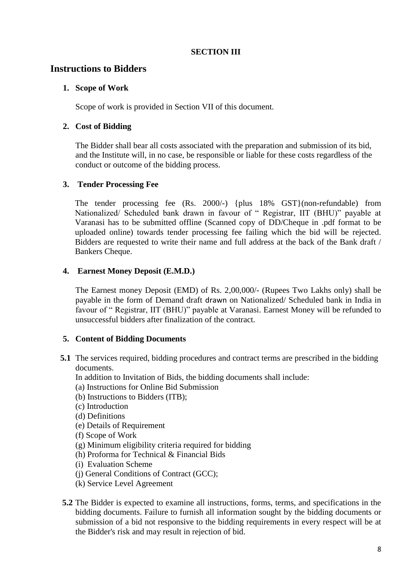### **SECTION III**

### **Instructions to Bidders**

### **1. Scope of Work**

Scope of work is provided in Section VII of this document.

### **2. Cost of Bidding**

The Bidder shall bear all costs associated with the preparation and submission of its bid, and the Institute will, in no case, be responsible or liable for these costs regardless of the conduct or outcome of the bidding process.

### **3. Tender Processing Fee**

The tender processing fee (Rs. 2000/-) {plus 18% GST}(non-refundable) from Nationalized/ Scheduled bank drawn in favour of " Registrar, IIT (BHU)" payable at Varanasi has to be submitted offline (Scanned copy of DD/Cheque in .pdf format to be uploaded online) towards tender processing fee failing which the bid will be rejected. Bidders are requested to write their name and full address at the back of the Bank draft / Bankers Cheque.

### **4. Earnest Money Deposit (E.M.D.)**

The Earnest money Deposit (EMD) of Rs. 2,00,000/- (Rupees Two Lakhs only) shall be payable in the form of Demand draft drawn on Nationalized/ Scheduled bank in India in favour of " Registrar, IIT (BHU)" payable at Varanasi. Earnest Money will be refunded to unsuccessful bidders after finalization of the contract.

### **5. Content of Bidding Documents**

- **5.1** The services required, bidding procedures and contract terms are prescribed in the bidding documents.
	- In addition to Invitation of Bids, the bidding documents shall include:
	- (a) Instructions for Online Bid Submission
	- (b) Instructions to Bidders (ITB);
	- (c) Introduction
	- (d) Definitions
	- (e) Details of Requirement
	- (f) Scope of Work
	- (g) Minimum eligibility criteria required for bidding
	- (h) Proforma for Technical & Financial Bids
	- (i) Evaluation Scheme
	- (j) General Conditions of Contract (GCC);
	- (k) Service Level Agreement
- **5.2** The Bidder is expected to examine all instructions, forms, terms, and specifications in the bidding documents. Failure to furnish all information sought by the bidding documents or submission of a bid not responsive to the bidding requirements in every respect will be at the Bidder's risk and may result in rejection of bid.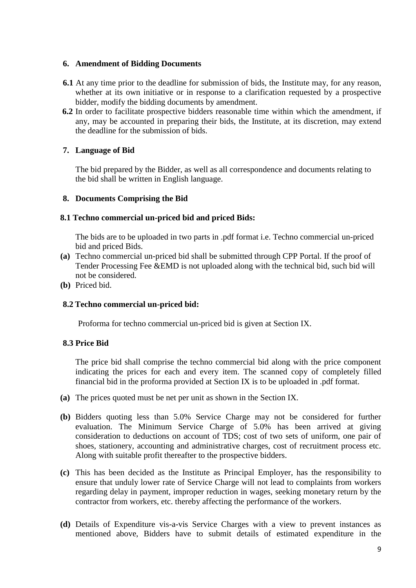### **6. Amendment of Bidding Documents**

- **6.1** At any time prior to the deadline for submission of bids, the Institute may, for any reason, whether at its own initiative or in response to a clarification requested by a prospective bidder, modify the bidding documents by amendment.
- **6.2** In order to facilitate prospective bidders reasonable time within which the amendment, if any, may be accounted in preparing their bids, the Institute, at its discretion, may extend the deadline for the submission of bids.

### **7. Language of Bid**

The bid prepared by the Bidder, as well as all correspondence and documents relating to the bid shall be written in English language.

### **8. Documents Comprising the Bid**

### **8.1 Techno commercial un-priced bid and priced Bids:**

The bids are to be uploaded in two parts in .pdf format i.e. Techno commercial un-priced bid and priced Bids.

- **(a)** Techno commercial un-priced bid shall be submitted through CPP Portal. If the proof of Tender Processing Fee &EMD is not uploaded along with the technical bid, such bid will not be considered.
- **(b)** Priced bid.

### **8.2 Techno commercial un-priced bid:**

Proforma for techno commercial un-priced bid is given at Section IX.

### **8.3 Price Bid**

The price bid shall comprise the techno commercial bid along with the price component indicating the prices for each and every item. The scanned copy of completely filled financial bid in the proforma provided at Section IX is to be uploaded in .pdf format.

- **(a)** The prices quoted must be net per unit as shown in the Section IX.
- **(b)** Bidders quoting less than 5.0% Service Charge may not be considered for further evaluation. The Minimum Service Charge of 5.0% has been arrived at giving consideration to deductions on account of TDS; cost of two sets of uniform, one pair of shoes, stationery, accounting and administrative charges, cost of recruitment process etc. Along with suitable profit thereafter to the prospective bidders.
- **(c)** This has been decided as the Institute as Principal Employer, has the responsibility to ensure that unduly lower rate of Service Charge will not lead to complaints from workers regarding delay in payment, improper reduction in wages, seeking monetary return by the contractor from workers, etc. thereby affecting the performance of the workers.
- **(d)** Details of Expenditure vis-a-vis Service Charges with a view to prevent instances as mentioned above, Bidders have to submit details of estimated expenditure in the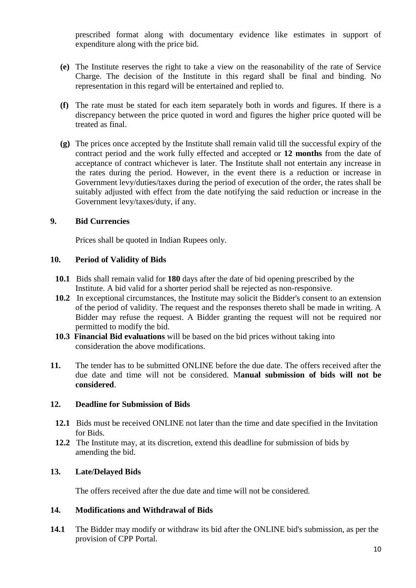prescribed format along with documentary evidence like estimates in support of expenditure along with the price bid.

- **(e)** The Institute reserves the right to take a view on the reasonability of the rate of Service Charge. The decision of the Institute in this regard shall be final and binding. No representation in this regard will be entertained and replied to.
- **(f)** The rate must be stated for each item separately both in words and figures. If there is a discrepancy between the price quoted in word and figures the higher price quoted will be treated as final.
- **(g)** The prices once accepted by the Institute shall remain valid till the successful expiry of the contract period and the work fully effected and accepted or **12 months** from the date of acceptance of contract whichever is later. The Institute shall not entertain any increase in the rates during the period. However, in the event there is a reduction or increase in Government levy/duties/taxes during the period of execution of the order, the rates shall be suitably adjusted with effect from the date notifying the said reduction or increase in the Government levy/taxes/duty, if any.

### **9. Bid Currencies**

Prices shall be quoted in Indian Rupees only.

### **10. Period of Validity of Bids**

- **10.1** Bids shall remain valid for **180** days after the date of bid opening prescribed by the Institute. A bid valid for a shorter period shall be rejected as non-responsive.
- **10.2** In exceptional circumstances, the Institute may solicit the Bidder's consent to an extension of the period of validity. The request and the responses thereto shall be made in writing. A Bidder may refuse the request. A Bidder granting the request will not be required nor permitted to modify the bid.
- **10.3 Financial Bid evaluations** will be based on the bid prices without taking into consideration the above modifications.
- **11.** The tender has to be submitted ONLINE before the due date. The offers received after the due date and time will not be considered. M**anual submission of bids will not be considered**.

### **12. Deadline for Submission of Bids**

- **12.1** Bids must be received ONLINE not later than the time and date specified in the Invitation for Bids.
- **12.2** The Institute may, at its discretion, extend this deadline for submission of bids by amending the bid.

### **13. Late/Delayed Bids**

The offers received after the due date and time will not be considered.

### **14. Modifications and Withdrawal of Bids**

**14.1** The Bidder may modify or withdraw its bid after the ONLINE bid's submission, as per the provision of CPP Portal.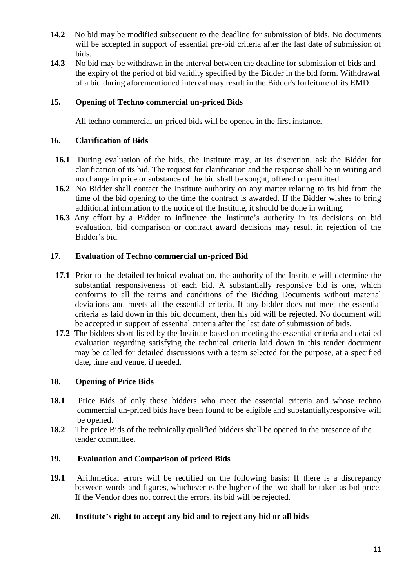- **14.2** No bid may be modified subsequent to the deadline for submission of bids. No documents will be accepted in support of essential pre-bid criteria after the last date of submission of bids.
- **14.3** No bid may be withdrawn in the interval between the deadline for submission of bids and the expiry of the period of bid validity specified by the Bidder in the bid form. Withdrawal of a bid during aforementioned interval may result in the Bidder's forfeiture of its EMD.

### **15. Opening of Techno commercial un-priced Bids**

All techno commercial un-priced bids will be opened in the first instance.

### **16. Clarification of Bids**

- **16.1** During evaluation of the bids, the Institute may, at its discretion, ask the Bidder for clarification of its bid. The request for clarification and the response shall be in writing and no change in price or substance of the bid shall be sought, offered or permitted.
- **16.2** No Bidder shall contact the Institute authority on any matter relating to its bid from the time of the bid opening to the time the contract is awarded. If the Bidder wishes to bring additional information to the notice of the Institute, it should be done in writing.
- 16.3 Any effort by a Bidder to influence the Institute's authority in its decisions on bid evaluation, bid comparison or contract award decisions may result in rejection of the Bidder's bid.

### **17. Evaluation of Techno commercial un-priced Bid**

- **17.1** Prior to the detailed technical evaluation, the authority of the Institute will determine the substantial responsiveness of each bid. A substantially responsive bid is one, which conforms to all the terms and conditions of the Bidding Documents without material deviations and meets all the essential criteria. If any bidder does not meet the essential criteria as laid down in this bid document, then his bid will be rejected. No document will be accepted in support of essential criteria after the last date of submission of bids.
- **17.2** The bidders short-listed by the Institute based on meeting the essential criteria and detailed evaluation regarding satisfying the technical criteria laid down in this tender document may be called for detailed discussions with a team selected for the purpose, at a specified date, time and venue, if needed.

### **18. Opening of Price Bids**

- **18.1** Price Bids of only those bidders who meet the essential criteria and whose techno commercial un-priced bids have been found to be eligible and substantiallyresponsive will be opened.
- **18.2** The price Bids of the technically qualified bidders shall be opened in the presence of the tender committee.

### **19. Evaluation and Comparison of priced Bids**

**19.1** Arithmetical errors will be rectified on the following basis: If there is a discrepancy between words and figures, whichever is the higher of the two shall be taken as bid price. If the Vendor does not correct the errors, its bid will be rejected.

### **20. Institute's right to accept any bid and to reject any bid or all bids**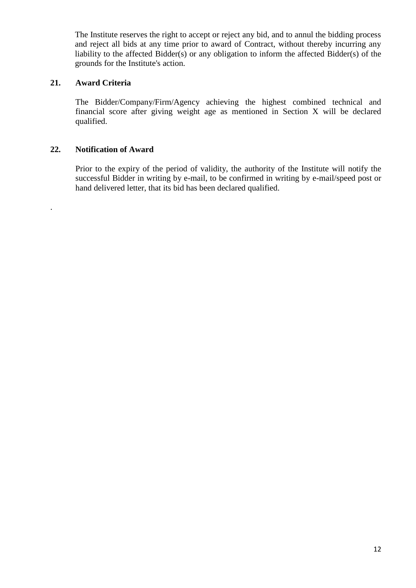The Institute reserves the right to accept or reject any bid, and to annul the bidding process and reject all bids at any time prior to award of Contract, without thereby incurring any liability to the affected Bidder(s) or any obligation to inform the affected Bidder(s) of the grounds for the Institute's action.

### **21. Award Criteria**

The Bidder/Company/Firm/Agency achieving the highest combined technical and financial score after giving weight age as mentioned in Section X will be declared qualified.

### **22. Notification of Award**

.

Prior to the expiry of the period of validity, the authority of the Institute will notify the successful Bidder in writing by e-mail, to be confirmed in writing by e-mail/speed post or hand delivered letter, that its bid has been declared qualified.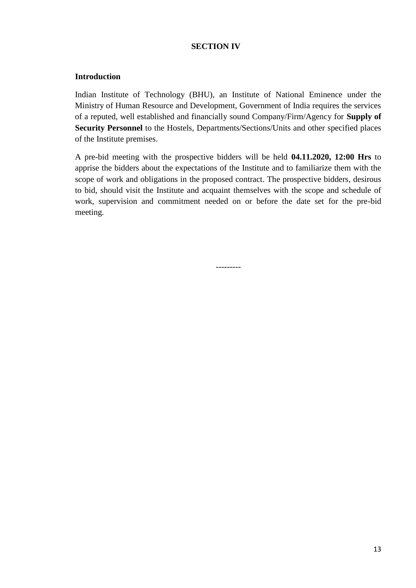### **SECTION IV**

### **Introduction**

Indian Institute of Technology (BHU), an Institute of National Eminence under the Ministry of Human Resource and Development, Government of India requires the services of a reputed, well established and financially sound Company/Firm/Agency for **Supply of Security Personnel** to the Hostels, Departments/Sections/Units and other specified places of the Institute premises.

A pre-bid meeting with the prospective bidders will be held **04.11.2020, 12:00 Hrs** to apprise the bidders about the expectations of the Institute and to familiarize them with the scope of work and obligations in the proposed contract. The prospective bidders, desirous to bid, should visit the Institute and acquaint themselves with the scope and schedule of work, supervision and commitment needed on or before the date set for the pre-bid meeting.

---------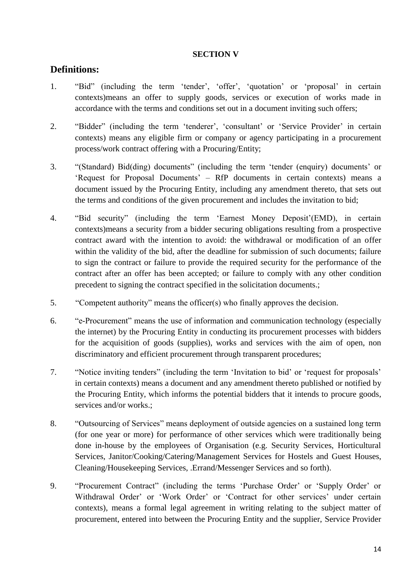### **SECTION V**

### **Definitions:**

- 1. "Bid" (including the term 'tender', 'offer', 'quotation' or 'proposal' in certain contexts)means an offer to supply goods, services or execution of works made in accordance with the terms and conditions set out in a document inviting such offers;
- 2. "Bidder" (including the term 'tenderer', 'consultant' or 'Service Provider' in certain contexts) means any eligible firm or company or agency participating in a procurement process/work contract offering with a Procuring/Entity;
- 3. "(Standard) Bid(ding) documents" (including the term "tender (enquiry) documents" or "Request for Proposal Documents" – RfP documents in certain contexts) means a document issued by the Procuring Entity, including any amendment thereto, that sets out the terms and conditions of the given procurement and includes the invitation to bid;
- 4. "Bid security" (including the term "Earnest Money Deposit"(EMD), in certain contexts)means a security from a bidder securing obligations resulting from a prospective contract award with the intention to avoid: the withdrawal or modification of an offer within the validity of the bid, after the deadline for submission of such documents; failure to sign the contract or failure to provide the required security for the performance of the contract after an offer has been accepted; or failure to comply with any other condition precedent to signing the contract specified in the solicitation documents.;
- 5. "Competent authority" means the officer(s) who finally approves the decision.
- 6. "e-Procurement" means the use of information and communication technology (especially the internet) by the Procuring Entity in conducting its procurement processes with bidders for the acquisition of goods (supplies), works and services with the aim of open, non discriminatory and efficient procurement through transparent procedures;
- 7. "Notice inviting tenders" (including the term "Invitation to bid" or "request for proposals" in certain contexts) means a document and any amendment thereto published or notified by the Procuring Entity, which informs the potential bidders that it intends to procure goods, services and/or works.;
- 8. "Outsourcing of Services" means deployment of outside agencies on a sustained long term (for one year or more) for performance of other services which were traditionally being done in-house by the employees of Organisation (e.g. Security Services, Horticultural Services, Janitor/Cooking/Catering/Management Services for Hostels and Guest Houses, Cleaning/Housekeeping Services, .Errand/Messenger Services and so forth).
- 9. "Procurement Contract" (including the terms "Purchase Order" or "Supply Order" or Withdrawal Order' or 'Work Order' or 'Contract for other services' under certain contexts), means a formal legal agreement in writing relating to the subject matter of procurement, entered into between the Procuring Entity and the supplier, Service Provider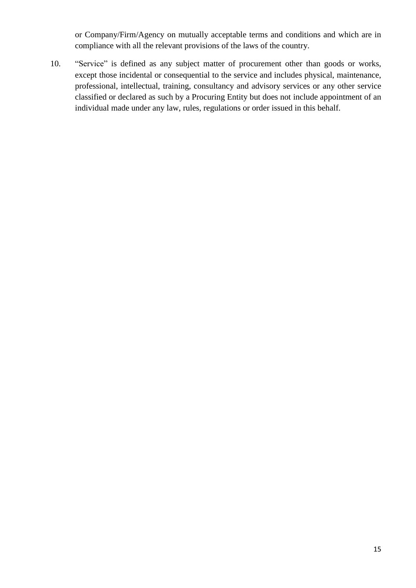or Company/Firm/Agency on mutually acceptable terms and conditions and which are in compliance with all the relevant provisions of the laws of the country.

10. "Service" is defined as any subject matter of procurement other than goods or works, except those incidental or consequential to the service and includes physical, maintenance, professional, intellectual, training, consultancy and advisory services or any other service classified or declared as such by a Procuring Entity but does not include appointment of an individual made under any law, rules, regulations or order issued in this behalf.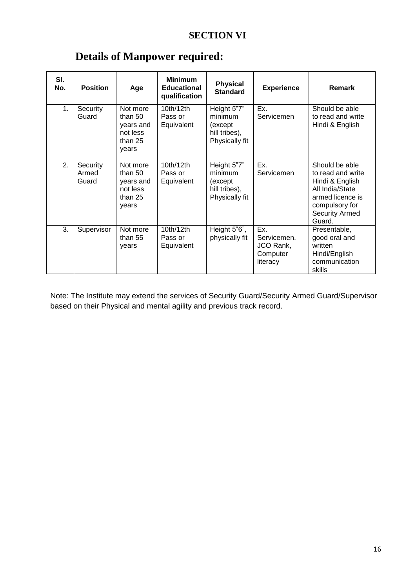### **Details of Manpower required:**

| SI.<br>No. | <b>Position</b>            | Age                                                                 | <b>Minimum</b><br><b>Educational</b><br>qualification | <b>Physical</b><br><b>Standard</b>                                    | <b>Experience</b>                                       | <b>Remark</b>                                                                                                                                      |
|------------|----------------------------|---------------------------------------------------------------------|-------------------------------------------------------|-----------------------------------------------------------------------|---------------------------------------------------------|----------------------------------------------------------------------------------------------------------------------------------------------------|
| 1.         | Security<br>Guard          | Not more<br>than $50$<br>years and<br>not less<br>than 25<br>years  | 10th/12th<br>Pass or<br>Equivalent                    | Height 5"7"<br>minimum<br>(except)<br>hill tribes),<br>Physically fit | Ex.<br>Servicemen                                       | Should be able<br>to read and write<br>Hindi & English                                                                                             |
| 2.         | Security<br>Armed<br>Guard | Not more<br>than $501$<br>years and<br>not less<br>than 25<br>years | 10th/12th<br>Pass or<br>Equivalent                    | Height 5"7"<br>minimum<br>(except<br>hill tribes),<br>Physically fit  | Ex.<br>Servicemen                                       | Should be able<br>to read and write<br>Hindi & English<br>All India/State<br>armed licence is<br>compulsory for<br><b>Security Armed</b><br>Guard. |
| 3.         | Supervisor                 | Not more<br>than 55<br>years                                        | 10th/12th<br>Pass or<br>Equivalent                    | Height 5"6",<br>physically fit                                        | Ex.<br>Servicemen,<br>JCO Rank,<br>Computer<br>literacy | Presentable,<br>good oral and<br>written<br>Hindi/English<br>communication<br>skills                                                               |

Note: The Institute may extend the services of Security Guard/Security Armed Guard/Supervisor based on their Physical and mental agility and previous track record.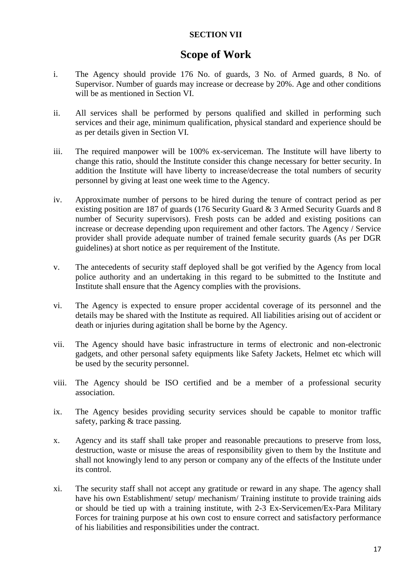### **SECTION VII**

### **Scope of Work**

- i. The Agency should provide 176 No. of guards, 3 No. of Armed guards, 8 No. of Supervisor. Number of guards may increase or decrease by 20%. Age and other conditions will be as mentioned in Section VI.
- ii. All services shall be performed by persons qualified and skilled in performing such services and their age, minimum qualification, physical standard and experience should be as per details given in Section VI.
- iii. The required manpower will be 100% ex-serviceman. The Institute will have liberty to change this ratio, should the Institute consider this change necessary for better security. In addition the Institute will have liberty to increase/decrease the total numbers of security personnel by giving at least one week time to the Agency.
- iv. Approximate number of persons to be hired during the tenure of contract period as per existing position are 187 of guards (176 Security Guard & 3 Armed Security Guards and 8 number of Security supervisors). Fresh posts can be added and existing positions can increase or decrease depending upon requirement and other factors. The Agency / Service provider shall provide adequate number of trained female security guards (As per DGR guidelines) at short notice as per requirement of the Institute.
- v. The antecedents of security staff deployed shall be got verified by the Agency from local police authority and an undertaking in this regard to be submitted to the Institute and Institute shall ensure that the Agency complies with the provisions.
- vi. The Agency is expected to ensure proper accidental coverage of its personnel and the details may be shared with the Institute as required. All liabilities arising out of accident or death or injuries during agitation shall be borne by the Agency.
- vii. The Agency should have basic infrastructure in terms of electronic and non-electronic gadgets, and other personal safety equipments like Safety Jackets, Helmet etc which will be used by the security personnel.
- viii. The Agency should be ISO certified and be a member of a professional security association.
- ix. The Agency besides providing security services should be capable to monitor traffic safety, parking & trace passing.
- x. Agency and its staff shall take proper and reasonable precautions to preserve from loss, destruction, waste or misuse the areas of responsibility given to them by the Institute and shall not knowingly lend to any person or company any of the effects of the Institute under its control.
- xi. The security staff shall not accept any gratitude or reward in any shape. The agency shall have his own Establishment/ setup/ mechanism/ Training institute to provide training aids or should be tied up with a training institute, with 2-3 Ex-Servicemen/Ex-Para Military Forces for training purpose at his own cost to ensure correct and satisfactory performance of his liabilities and responsibilities under the contract.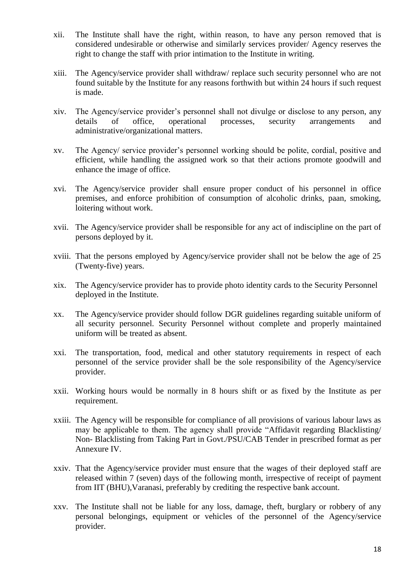- xii. The Institute shall have the right, within reason, to have any person removed that is considered undesirable or otherwise and similarly services provider/ Agency reserves the right to change the staff with prior intimation to the Institute in writing.
- xiii. The Agency/service provider shall withdraw/ replace such security personnel who are not found suitable by the Institute for any reasons forthwith but within 24 hours if such request is made.
- xiv. The Agency/service provider"s personnel shall not divulge or disclose to any person, any details of office, operational processes, security arrangements and administrative/organizational matters.
- xv. The Agency/ service provider"s personnel working should be polite, cordial, positive and efficient, while handling the assigned work so that their actions promote goodwill and enhance the image of office.
- xvi. The Agency/service provider shall ensure proper conduct of his personnel in office premises, and enforce prohibition of consumption of alcoholic drinks, paan, smoking, loitering without work.
- xvii. The Agency/service provider shall be responsible for any act of indiscipline on the part of persons deployed by it.
- xviii. That the persons employed by Agency/service provider shall not be below the age of 25 (Twenty-five) years.
- xix. The Agency/service provider has to provide photo identity cards to the Security Personnel deployed in the Institute.
- xx. The Agency/service provider should follow DGR guidelines regarding suitable uniform of all security personnel. Security Personnel without complete and properly maintained uniform will be treated as absent.
- xxi. The transportation, food, medical and other statutory requirements in respect of each personnel of the service provider shall be the sole responsibility of the Agency/service provider.
- xxii. Working hours would be normally in 8 hours shift or as fixed by the Institute as per requirement.
- xxiii. The Agency will be responsible for compliance of all provisions of various labour laws as may be applicable to them. The agency shall provide "Affidavit regarding Blacklisting/ Non- Blacklisting from Taking Part in Govt./PSU/CAB Tender in prescribed format as per Annexure IV.
- xxiv. That the Agency/service provider must ensure that the wages of their deployed staff are released within 7 (seven) days of the following month, irrespective of receipt of payment from IIT (BHU),Varanasi, preferably by crediting the respective bank account.
- xxv. The Institute shall not be liable for any loss, damage, theft, burglary or robbery of any personal belongings, equipment or vehicles of the personnel of the Agency/service provider.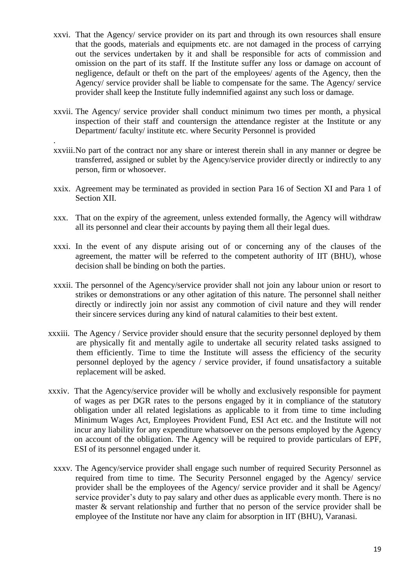- xxvi. That the Agency/ service provider on its part and through its own resources shall ensure that the goods, materials and equipments etc. are not damaged in the process of carrying out the services undertaken by it and shall be responsible for acts of commission and omission on the part of its staff. If the Institute suffer any loss or damage on account of negligence, default or theft on the part of the employees/ agents of the Agency, then the Agency/ service provider shall be liable to compensate for the same. The Agency/ service provider shall keep the Institute fully indemnified against any such loss or damage.
- xxvii. The Agency/ service provider shall conduct minimum two times per month, a physical inspection of their staff and countersign the attendance register at the Institute or any Department/ faculty/ institute etc. where Security Personnel is provided
- xxviii.No part of the contract nor any share or interest therein shall in any manner or degree be transferred, assigned or sublet by the Agency/service provider directly or indirectly to any person, firm or whosoever.

.

- xxix. Agreement may be terminated as provided in section Para 16 of Section XI and Para 1 of Section XII.
- xxx. That on the expiry of the agreement, unless extended formally, the Agency will withdraw all its personnel and clear their accounts by paying them all their legal dues.
- xxxi. In the event of any dispute arising out of or concerning any of the clauses of the agreement, the matter will be referred to the competent authority of IIT (BHU), whose decision shall be binding on both the parties.
- xxxii. The personnel of the Agency/service provider shall not join any labour union or resort to strikes or demonstrations or any other agitation of this nature. The personnel shall neither directly or indirectly join nor assist any commotion of civil nature and they will render their sincere services during any kind of natural calamities to their best extent.
- xxxiii. The Agency / Service provider should ensure that the security personnel deployed by them are physically fit and mentally agile to undertake all security related tasks assigned to them efficiently. Time to time the Institute will assess the efficiency of the security personnel deployed by the agency / service provider, if found unsatisfactory a suitable replacement will be asked.
- xxxiv. That the Agency/service provider will be wholly and exclusively responsible for payment of wages as per DGR rates to the persons engaged by it in compliance of the statutory obligation under all related legislations as applicable to it from time to time including Minimum Wages Act, Employees Provident Fund, ESI Act etc. and the Institute will not incur any liability for any expenditure whatsoever on the persons employed by the Agency on account of the obligation. The Agency will be required to provide particulars of EPF, ESI of its personnel engaged under it.
	- xxxv. The Agency/service provider shall engage such number of required Security Personnel as required from time to time. The Security Personnel engaged by the Agency/ service provider shall be the employees of the Agency/ service provider and it shall be Agency/ service provider's duty to pay salary and other dues as applicable every month. There is no master & servant relationship and further that no person of the service provider shall be employee of the Institute nor have any claim for absorption in IIT (BHU), Varanasi.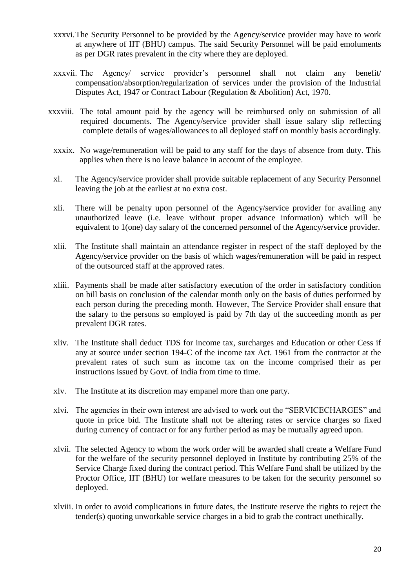- xxxvi.The Security Personnel to be provided by the Agency/service provider may have to work at anywhere of IIT (BHU) campus. The said Security Personnel will be paid emoluments as per DGR rates prevalent in the city where they are deployed.
- xxxvii. The Agency/ service provider"s personnel shall not claim any benefit/ compensation/absorption/regularization of services under the provision of the Industrial Disputes Act, 1947 or Contract Labour (Regulation & Abolition) Act, 1970.
- xxxviii. The total amount paid by the agency will be reimbursed only on submission of all required documents. The Agency/service provider shall issue salary slip reflecting complete details of wages/allowances to all deployed staff on monthly basis accordingly.
	- xxxix. No wage/remuneration will be paid to any staff for the days of absence from duty. This applies when there is no leave balance in account of the employee.
	- xl. The Agency/service provider shall provide suitable replacement of any Security Personnel leaving the job at the earliest at no extra cost.
	- xli. There will be penalty upon personnel of the Agency/service provider for availing any unauthorized leave (i.e. leave without proper advance information) which will be equivalent to 1(one) day salary of the concerned personnel of the Agency/service provider.
	- xlii. The Institute shall maintain an attendance register in respect of the staff deployed by the Agency/service provider on the basis of which wages/remuneration will be paid in respect of the outsourced staff at the approved rates.
	- xliii. Payments shall be made after satisfactory execution of the order in satisfactory condition on bill basis on conclusion of the calendar month only on the basis of duties performed by each person during the preceding month. However, The Service Provider shall ensure that the salary to the persons so employed is paid by 7th day of the succeeding month as per prevalent DGR rates.
	- xliv. The Institute shall deduct TDS for income tax, surcharges and Education or other Cess if any at source under section 194-C of the income tax Act. 1961 from the contractor at the prevalent rates of such sum as income tax on the income comprised their as per instructions issued by Govt. of India from time to time.
	- xlv. The Institute at its discretion may empanel more than one party.
	- xlvi. The agencies in their own interest are advised to work out the "SERVICECHARGES" and quote in price bid. The Institute shall not be altering rates or service charges so fixed during currency of contract or for any further period as may be mutually agreed upon.
	- xlvii. The selected Agency to whom the work order will be awarded shall create a Welfare Fund for the welfare of the security personnel deployed in Institute by contributing 25% of the Service Charge fixed during the contract period. This Welfare Fund shall be utilized by the Proctor Office, IIT (BHU) for welfare measures to be taken for the security personnel so deployed.
	- xlviii. In order to avoid complications in future dates, the Institute reserve the rights to reject the tender(s) quoting unworkable service charges in a bid to grab the contract unethically.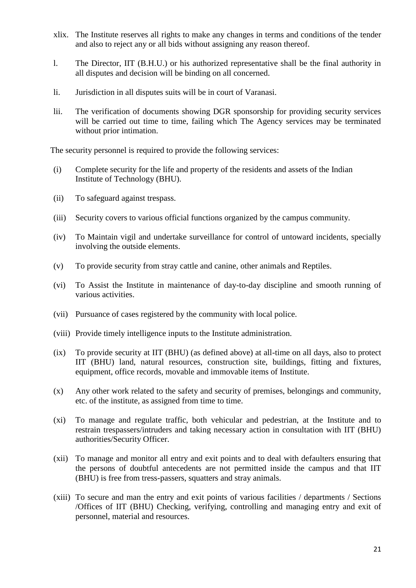- xlix. The Institute reserves all rights to make any changes in terms and conditions of the tender and also to reject any or all bids without assigning any reason thereof.
- l. The Director, IIT (B.H.U.) or his authorized representative shall be the final authority in all disputes and decision will be binding on all concerned.
- li. Jurisdiction in all disputes suits will be in court of Varanasi.
- lii. The verification of documents showing DGR sponsorship for providing security services will be carried out time to time, failing which The Agency services may be terminated without prior intimation.

The security personnel is required to provide the following services:

- (i) Complete security for the life and property of the residents and assets of the Indian Institute of Technology (BHU).
- (ii) To safeguard against trespass.
- (iii) Security covers to various official functions organized by the campus community.
- (iv) To Maintain vigil and undertake surveillance for control of untoward incidents, specially involving the outside elements.
- (v) To provide security from stray cattle and canine, other animals and Reptiles.
- (vi) To Assist the Institute in maintenance of day-to-day discipline and smooth running of various activities.
- (vii) Pursuance of cases registered by the community with local police.
- (viii) Provide timely intelligence inputs to the Institute administration.
- (ix) To provide security at IIT (BHU) (as defined above) at all-time on all days, also to protect IIT (BHU) land, natural resources, construction site, buildings, fitting and fixtures, equipment, office records, movable and immovable items of Institute.
- (x) Any other work related to the safety and security of premises, belongings and community, etc. of the institute, as assigned from time to time.
- (xi) To manage and regulate traffic, both vehicular and pedestrian, at the Institute and to restrain trespassers/intruders and taking necessary action in consultation with IIT (BHU) authorities/Security Officer.
- (xii) To manage and monitor all entry and exit points and to deal with defaulters ensuring that the persons of doubtful antecedents are not permitted inside the campus and that IIT (BHU) is free from tress-passers, squatters and stray animals.
- (xiii) To secure and man the entry and exit points of various facilities / departments / Sections /Offices of IIT (BHU) Checking, verifying, controlling and managing entry and exit of personnel, material and resources.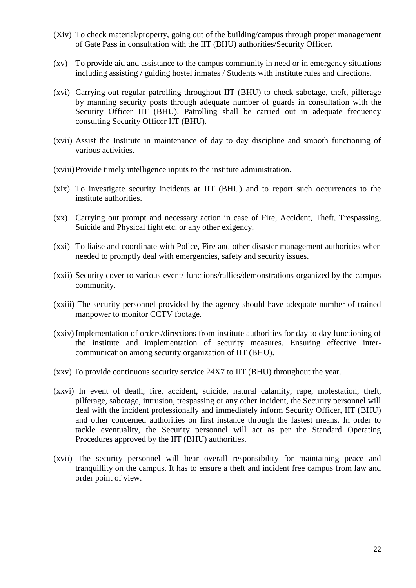- (Xiv) To check material/property, going out of the building/campus through proper management of Gate Pass in consultation with the IIT (BHU) authorities/Security Officer.
- (xv) To provide aid and assistance to the campus community in need or in emergency situations including assisting / guiding hostel inmates / Students with institute rules and directions.
- (xvi) Carrying-out regular patrolling throughout IIT (BHU) to check sabotage, theft, pilferage by manning security posts through adequate number of guards in consultation with the Security Officer IIT (BHU). Patrolling shall be carried out in adequate frequency consulting Security Officer IIT (BHU).
- (xvii) Assist the Institute in maintenance of day to day discipline and smooth functioning of various activities.
- (xviii)Provide timely intelligence inputs to the institute administration.
- (xix) To investigate security incidents at IIT (BHU) and to report such occurrences to the institute authorities.
- (xx) Carrying out prompt and necessary action in case of Fire, Accident, Theft, Trespassing, Suicide and Physical fight etc. or any other exigency.
- (xxi) To liaise and coordinate with Police, Fire and other disaster management authorities when needed to promptly deal with emergencies, safety and security issues.
- (xxii) Security cover to various event/ functions/rallies/demonstrations organized by the campus community.
- (xxiii) The security personnel provided by the agency should have adequate number of trained manpower to monitor CCTV footage.
- (xxiv) Implementation of orders/directions from institute authorities for day to day functioning of the institute and implementation of security measures. Ensuring effective intercommunication among security organization of IIT (BHU).
- (xxv) To provide continuous security service 24X7 to IIT (BHU) throughout the year.
- (xxvi) In event of death, fire, accident, suicide, natural calamity, rape, molestation, theft, pilferage, sabotage, intrusion, trespassing or any other incident, the Security personnel will deal with the incident professionally and immediately inform Security Officer, IIT (BHU) and other concerned authorities on first instance through the fastest means. In order to tackle eventuality, the Security personnel will act as per the Standard Operating Procedures approved by the IIT (BHU) authorities.
- (xvii) The security personnel will bear overall responsibility for maintaining peace and tranquillity on the campus. It has to ensure a theft and incident free campus from law and order point of view.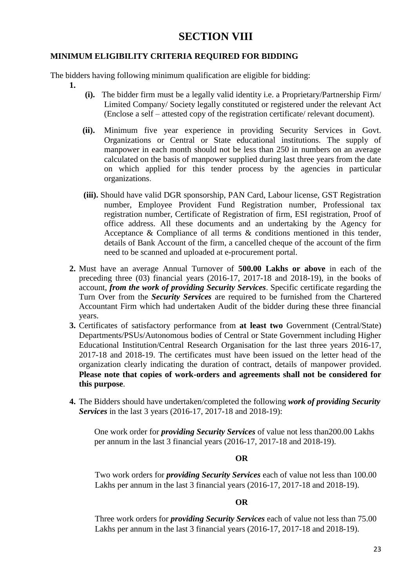### **SECTION VIII**

### **MINIMUM ELIGIBILITY CRITERIA REQUIRED FOR BIDDING**

The bidders having following minimum qualification are eligible for bidding:

- **1.**
- **(i).** The bidder firm must be a legally valid identity i.e. a Proprietary/Partnership Firm/ Limited Company/ Society legally constituted or registered under the relevant Act (Enclose a self – attested copy of the registration certificate/ relevant document).
- **(ii).** Minimum five year experience in providing Security Services in Govt. Organizations or Central or State educational institutions. The supply of manpower in each month should not be less than 250 in numbers on an average calculated on the basis of manpower supplied during last three years from the date on which applied for this tender process by the agencies in particular organizations.
- **(iii).** Should have valid DGR sponsorship, PAN Card, Labour license, GST Registration number, Employee Provident Fund Registration number, Professional tax registration number, Certificate of Registration of firm, ESI registration, Proof of office address. All these documents and an undertaking by the Agency for Acceptance & Compliance of all terms & conditions mentioned in this tender, details of Bank Account of the firm, a cancelled cheque of the account of the firm need to be scanned and uploaded at e-procurement portal.
- **2.** Must have an average Annual Turnover of **500.00 Lakhs or above** in each of the preceding three (03) financial years (2016-17, 2017-18 and 2018-19), in the books of account, *from the work of providing Security Services*. Specific certificate regarding the Turn Over from the *Security Services* are required to be furnished from the Chartered Accountant Firm which had undertaken Audit of the bidder during these three financial years.
- **3.** Certificates of satisfactory performance from **at least two** Government (Central/State) Departments/PSUs/Autonomous bodies of Central or State Government including Higher Educational Institution/Central Research Organisation for the last three years 2016-17, 2017-18 and 2018-19. The certificates must have been issued on the letter head of the organization clearly indicating the duration of contract, details of manpower provided. **Please note that copies of work-orders and agreements shall not be considered for this purpose**.
- **4.** The Bidders should have undertaken/completed the following *work of providing Security Services* in the last 3 years (2016-17, 2017-18 and 2018-19):

One work order for *providing Security Services* of value not less than200.00 Lakhs per annum in the last 3 financial years (2016-17, 2017-18 and 2018-19).

### **OR**

Two work orders for *providing Security Services* each of value not less than 100.00 Lakhs per annum in the last 3 financial years (2016-17, 2017-18 and 2018-19).

### **OR**

Three work orders for *providing Security Services* each of value not less than 75.00 Lakhs per annum in the last 3 financial years (2016-17, 2017-18 and 2018-19).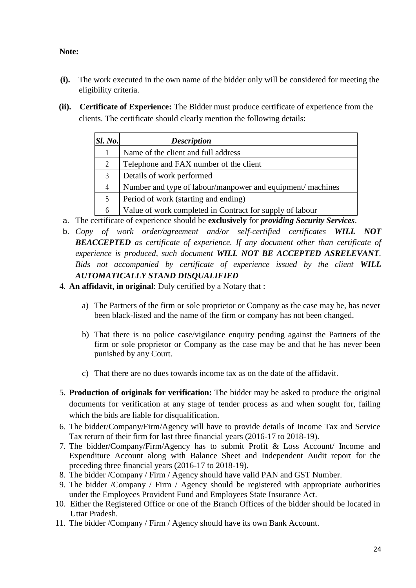### **Note:**

- **(i).** The work executed in the own name of the bidder only will be considered for meeting the eligibility criteria.
- **(ii). Certificate of Experience:** The Bidder must produce certificate of experience from the clients. The certificate should clearly mention the following details:

| <b>Sl. No.</b> | <b>Description</b>                                         |
|----------------|------------------------------------------------------------|
|                | Name of the client and full address                        |
| 2              | Telephone and FAX number of the client                     |
| 3              | Details of work performed                                  |
| $\overline{4}$ | Number and type of labour/manpower and equipment/ machines |
| 5              | Period of work (starting and ending)                       |
| 6              | Value of work completed in Contract for supply of labour   |

- a. The certificate of experience should be **exclusively** for *providing Security Services*.
- b. *Copy of work order/agreement and/or self-certified certificates WILL NOT BEACCEPTED as certificate of experience. If any document other than certificate of experience is produced, such document WILL NOT BE ACCEPTED ASRELEVANT. Bids not accompanied by certificate of experience issued by the client WILL AUTOMATICALLY STAND DISQUALIFIED*
- 4. **An affidavit, in original**: Duly certified by a Notary that :
	- a) The Partners of the firm or sole proprietor or Company as the case may be, has never been black-listed and the name of the firm or company has not been changed.
	- b) That there is no police case/vigilance enquiry pending against the Partners of the firm or sole proprietor or Company as the case may be and that he has never been punished by any Court.
	- c) That there are no dues towards income tax as on the date of the affidavit.
- 5. **Production of originals for verification:** The bidder may be asked to produce the original documents for verification at any stage of tender process as and when sought for, failing which the bids are liable for disqualification.
- 6. The bidder/Company/Firm/Agency will have to provide details of Income Tax and Service Tax return of their firm for last three financial years (2016-17 to 2018-19).
- 7. The bidder/Company/Firm/Agency has to submit Profit & Loss Account/ Income and Expenditure Account along with Balance Sheet and Independent Audit report for the preceding three financial years (2016-17 to 2018-19).
- 8. The bidder /Company / Firm / Agency should have valid PAN and GST Number.
- 9. The bidder /Company / Firm / Agency should be registered with appropriate authorities under the Employees Provident Fund and Employees State Insurance Act.
- 10. Either the Registered Office or one of the Branch Offices of the bidder should be located in Uttar Pradesh.
- 11. The bidder /Company / Firm / Agency should have its own Bank Account.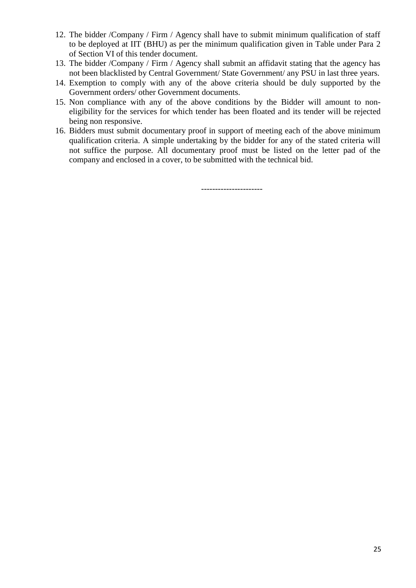- 12. The bidder /Company / Firm / Agency shall have to submit minimum qualification of staff to be deployed at IIT (BHU) as per the minimum qualification given in Table under Para 2 of Section VI of this tender document.
- 13. The bidder /Company / Firm / Agency shall submit an affidavit stating that the agency has not been blacklisted by Central Government/ State Government/ any PSU in last three years.
- 14. Exemption to comply with any of the above criteria should be duly supported by the Government orders/ other Government documents.
- 15. Non compliance with any of the above conditions by the Bidder will amount to noneligibility for the services for which tender has been floated and its tender will be rejected being non responsive.
- 16. Bidders must submit documentary proof in support of meeting each of the above minimum qualification criteria. A simple undertaking by the bidder for any of the stated criteria will not suffice the purpose. All documentary proof must be listed on the letter pad of the company and enclosed in a cover, to be submitted with the technical bid.

----------------------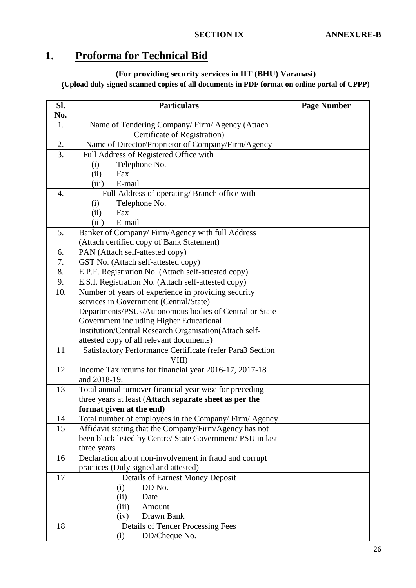### **1. Proforma for Technical Bid**

### **(For providing security services in IIT (BHU) Varanasi)**

**(Upload duly signed scanned copies of all documents in PDF format on online portal of CPPP)**

| No.<br>Name of Tendering Company/Firm/Agency (Attach<br>1.<br>Certificate of Registration)<br>2.<br>Name of Director/Proprietor of Company/Firm/Agency<br>$\overline{3}$ .<br>Full Address of Registered Office with<br>Telephone No.<br>(i)<br>(ii)<br>Fax<br>E-mail<br>(iii)<br>Full Address of operating/ Branch office with<br>$\overline{4}$ .<br>Telephone No.<br>(i)<br>(ii)<br>Fax<br>E-mail<br>(iii)<br>5.<br>Banker of Company/Firm/Agency with full Address<br>(Attach certified copy of Bank Statement)<br>PAN (Attach self-attested copy)<br>6.<br>7.<br>GST No. (Attach self-attested copy)<br>8.<br>E.P.F. Registration No. (Attach self-attested copy)<br>9.<br>E.S.I. Registration No. (Attach self-attested copy)<br>10.<br>Number of years of experience in providing security<br>services in Government (Central/State)<br>Departments/PSUs/Autonomous bodies of Central or State | SI. | <b>Particulars</b> | <b>Page Number</b> |
|-------------------------------------------------------------------------------------------------------------------------------------------------------------------------------------------------------------------------------------------------------------------------------------------------------------------------------------------------------------------------------------------------------------------------------------------------------------------------------------------------------------------------------------------------------------------------------------------------------------------------------------------------------------------------------------------------------------------------------------------------------------------------------------------------------------------------------------------------------------------------------------------------------|-----|--------------------|--------------------|
|                                                                                                                                                                                                                                                                                                                                                                                                                                                                                                                                                                                                                                                                                                                                                                                                                                                                                                       |     |                    |                    |
|                                                                                                                                                                                                                                                                                                                                                                                                                                                                                                                                                                                                                                                                                                                                                                                                                                                                                                       |     |                    |                    |
|                                                                                                                                                                                                                                                                                                                                                                                                                                                                                                                                                                                                                                                                                                                                                                                                                                                                                                       |     |                    |                    |
|                                                                                                                                                                                                                                                                                                                                                                                                                                                                                                                                                                                                                                                                                                                                                                                                                                                                                                       |     |                    |                    |
|                                                                                                                                                                                                                                                                                                                                                                                                                                                                                                                                                                                                                                                                                                                                                                                                                                                                                                       |     |                    |                    |
|                                                                                                                                                                                                                                                                                                                                                                                                                                                                                                                                                                                                                                                                                                                                                                                                                                                                                                       |     |                    |                    |
|                                                                                                                                                                                                                                                                                                                                                                                                                                                                                                                                                                                                                                                                                                                                                                                                                                                                                                       |     |                    |                    |
|                                                                                                                                                                                                                                                                                                                                                                                                                                                                                                                                                                                                                                                                                                                                                                                                                                                                                                       |     |                    |                    |
|                                                                                                                                                                                                                                                                                                                                                                                                                                                                                                                                                                                                                                                                                                                                                                                                                                                                                                       |     |                    |                    |
|                                                                                                                                                                                                                                                                                                                                                                                                                                                                                                                                                                                                                                                                                                                                                                                                                                                                                                       |     |                    |                    |
|                                                                                                                                                                                                                                                                                                                                                                                                                                                                                                                                                                                                                                                                                                                                                                                                                                                                                                       |     |                    |                    |
|                                                                                                                                                                                                                                                                                                                                                                                                                                                                                                                                                                                                                                                                                                                                                                                                                                                                                                       |     |                    |                    |
|                                                                                                                                                                                                                                                                                                                                                                                                                                                                                                                                                                                                                                                                                                                                                                                                                                                                                                       |     |                    |                    |
|                                                                                                                                                                                                                                                                                                                                                                                                                                                                                                                                                                                                                                                                                                                                                                                                                                                                                                       |     |                    |                    |
|                                                                                                                                                                                                                                                                                                                                                                                                                                                                                                                                                                                                                                                                                                                                                                                                                                                                                                       |     |                    |                    |
|                                                                                                                                                                                                                                                                                                                                                                                                                                                                                                                                                                                                                                                                                                                                                                                                                                                                                                       |     |                    |                    |
|                                                                                                                                                                                                                                                                                                                                                                                                                                                                                                                                                                                                                                                                                                                                                                                                                                                                                                       |     |                    |                    |
|                                                                                                                                                                                                                                                                                                                                                                                                                                                                                                                                                                                                                                                                                                                                                                                                                                                                                                       |     |                    |                    |
|                                                                                                                                                                                                                                                                                                                                                                                                                                                                                                                                                                                                                                                                                                                                                                                                                                                                                                       |     |                    |                    |
|                                                                                                                                                                                                                                                                                                                                                                                                                                                                                                                                                                                                                                                                                                                                                                                                                                                                                                       |     |                    |                    |
| Government including Higher Educational                                                                                                                                                                                                                                                                                                                                                                                                                                                                                                                                                                                                                                                                                                                                                                                                                                                               |     |                    |                    |
| Institution/Central Research Organisation(Attach self-                                                                                                                                                                                                                                                                                                                                                                                                                                                                                                                                                                                                                                                                                                                                                                                                                                                |     |                    |                    |
| attested copy of all relevant documents)                                                                                                                                                                                                                                                                                                                                                                                                                                                                                                                                                                                                                                                                                                                                                                                                                                                              |     |                    |                    |
| 11<br>Satisfactory Performance Certificate (refer Para3 Section                                                                                                                                                                                                                                                                                                                                                                                                                                                                                                                                                                                                                                                                                                                                                                                                                                       |     |                    |                    |
| VIII)                                                                                                                                                                                                                                                                                                                                                                                                                                                                                                                                                                                                                                                                                                                                                                                                                                                                                                 |     |                    |                    |
| 12<br>Income Tax returns for financial year 2016-17, 2017-18                                                                                                                                                                                                                                                                                                                                                                                                                                                                                                                                                                                                                                                                                                                                                                                                                                          |     |                    |                    |
| and 2018-19.                                                                                                                                                                                                                                                                                                                                                                                                                                                                                                                                                                                                                                                                                                                                                                                                                                                                                          |     |                    |                    |
| Total annual turnover financial year wise for preceding<br>13                                                                                                                                                                                                                                                                                                                                                                                                                                                                                                                                                                                                                                                                                                                                                                                                                                         |     |                    |                    |
| three years at least (Attach separate sheet as per the                                                                                                                                                                                                                                                                                                                                                                                                                                                                                                                                                                                                                                                                                                                                                                                                                                                |     |                    |                    |
| format given at the end)                                                                                                                                                                                                                                                                                                                                                                                                                                                                                                                                                                                                                                                                                                                                                                                                                                                                              |     |                    |                    |
| Total number of employees in the Company/Firm/Agency<br>14                                                                                                                                                                                                                                                                                                                                                                                                                                                                                                                                                                                                                                                                                                                                                                                                                                            |     |                    |                    |
| Affidavit stating that the Company/Firm/Agency has not<br>15                                                                                                                                                                                                                                                                                                                                                                                                                                                                                                                                                                                                                                                                                                                                                                                                                                          |     |                    |                    |
| been black listed by Centre/ State Government/ PSU in last                                                                                                                                                                                                                                                                                                                                                                                                                                                                                                                                                                                                                                                                                                                                                                                                                                            |     |                    |                    |
| three years                                                                                                                                                                                                                                                                                                                                                                                                                                                                                                                                                                                                                                                                                                                                                                                                                                                                                           |     |                    |                    |
| Declaration about non-involvement in fraud and corrupt<br>16                                                                                                                                                                                                                                                                                                                                                                                                                                                                                                                                                                                                                                                                                                                                                                                                                                          |     |                    |                    |
| practices (Duly signed and attested)                                                                                                                                                                                                                                                                                                                                                                                                                                                                                                                                                                                                                                                                                                                                                                                                                                                                  |     |                    |                    |
| 17<br><b>Details of Earnest Money Deposit</b>                                                                                                                                                                                                                                                                                                                                                                                                                                                                                                                                                                                                                                                                                                                                                                                                                                                         |     |                    |                    |
| DD No.<br>(i)                                                                                                                                                                                                                                                                                                                                                                                                                                                                                                                                                                                                                                                                                                                                                                                                                                                                                         |     |                    |                    |
| (ii)<br>Date<br>Amount                                                                                                                                                                                                                                                                                                                                                                                                                                                                                                                                                                                                                                                                                                                                                                                                                                                                                |     |                    |                    |
| (iii)<br>Drawn Bank<br>(iv)                                                                                                                                                                                                                                                                                                                                                                                                                                                                                                                                                                                                                                                                                                                                                                                                                                                                           |     |                    |                    |
| 18<br><b>Details of Tender Processing Fees</b>                                                                                                                                                                                                                                                                                                                                                                                                                                                                                                                                                                                                                                                                                                                                                                                                                                                        |     |                    |                    |
| DD/Cheque No.<br>(i)                                                                                                                                                                                                                                                                                                                                                                                                                                                                                                                                                                                                                                                                                                                                                                                                                                                                                  |     |                    |                    |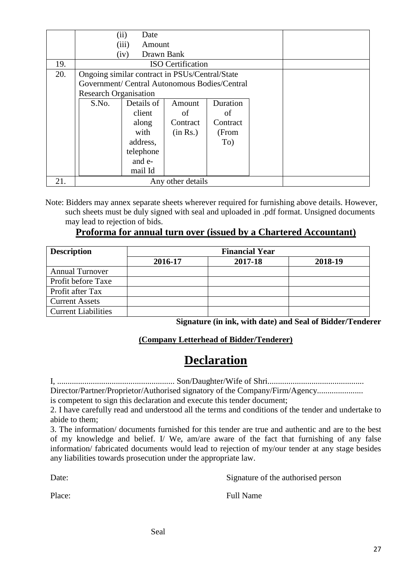|     |                                               | (ii)<br>Date                                   |                          |          |  |  |
|-----|-----------------------------------------------|------------------------------------------------|--------------------------|----------|--|--|
|     | (iii)<br>Amount                               |                                                |                          |          |  |  |
|     |                                               | Drawn Bank<br>(iv)                             |                          |          |  |  |
| 19. |                                               |                                                | <b>ISO</b> Certification |          |  |  |
| 20. |                                               | Ongoing similar contract in PSUs/Central/State |                          |          |  |  |
|     | Government/ Central Autonomous Bodies/Central |                                                |                          |          |  |  |
|     | <b>Research Organisation</b>                  |                                                |                          |          |  |  |
|     | S.No.                                         | Details of                                     | Amount                   | Duration |  |  |
|     |                                               | client                                         | of                       | of       |  |  |
|     |                                               | along                                          | Contract                 | Contract |  |  |
|     |                                               | with                                           | (in Rs.)                 | (From    |  |  |
|     |                                               | address,                                       |                          | To)      |  |  |
|     |                                               | telephone                                      |                          |          |  |  |
|     |                                               | and e-                                         |                          |          |  |  |
|     |                                               | mail Id                                        |                          |          |  |  |
| 21. |                                               |                                                | Any other details        |          |  |  |

Note: Bidders may annex separate sheets wherever required for furnishing above details. However, such sheets must be duly signed with seal and uploaded in .pdf format. Unsigned documents may lead to rejection of bids.

### **Proforma for annual turn over (issued by a Chartered Accountant)**

| <b>Description</b>         | <b>Financial Year</b> |         |         |  |  |
|----------------------------|-----------------------|---------|---------|--|--|
|                            | 2016-17               | 2017-18 | 2018-19 |  |  |
| <b>Annual Turnover</b>     |                       |         |         |  |  |
| Profit before Taxe         |                       |         |         |  |  |
| Profit after Tax           |                       |         |         |  |  |
| <b>Current Assets</b>      |                       |         |         |  |  |
| <b>Current Liabilities</b> |                       |         |         |  |  |

**Signature (in ink, with date) and Seal of Bidder/Tenderer**

### **(Company Letterhead of Bidder/Tenderer)**

### **Declaration**

I, ........................................................ Son/Daughter/Wife of Shri.............................................. Director/Partner/Proprietor/Authorised signatory of the Company/Firm/Agency........................

is competent to sign this declaration and execute this tender document;

2. I have carefully read and understood all the terms and conditions of the tender and undertake to abide to them;

3. The information/ documents furnished for this tender are true and authentic and are to the best of my knowledge and belief. I/ We, am/are aware of the fact that furnishing of any false information/ fabricated documents would lead to rejection of my/our tender at any stage besides any liabilities towards prosecution under the appropriate law.

Date: Signature of the authorised person

Place: Full Name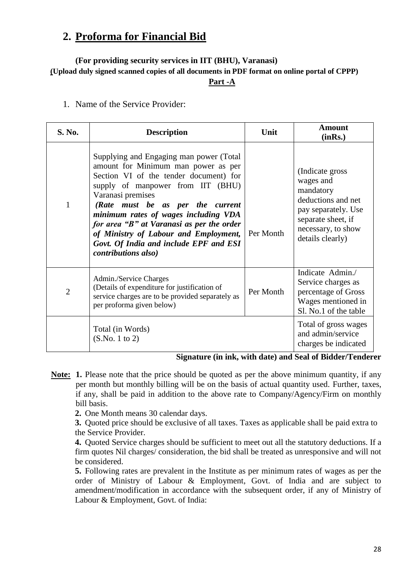### **2. Proforma for Financial Bid**

### **(For providing security services in IIT (BHU), Varanasi) (Upload duly signed scanned copies of all documents in PDF format on online portal of CPPP)**

### **Part -A**

1. Name of the Service Provider:

| S. No.         | <b>Description</b>                                                                                                                                                                                                                                                                                                                                                                                                              | Unit      | <b>Amount</b><br>(inRs.)                                                                                                                                |
|----------------|---------------------------------------------------------------------------------------------------------------------------------------------------------------------------------------------------------------------------------------------------------------------------------------------------------------------------------------------------------------------------------------------------------------------------------|-----------|---------------------------------------------------------------------------------------------------------------------------------------------------------|
| $\mathbf{1}$   | Supplying and Engaging man power (Total<br>amount for Minimum man power as per<br>Section VI of the tender document) for<br>supply of manpower from IIT (BHU)<br>Varanasi premises<br>(Rate must be as per the current<br>minimum rates of wages including VDA<br>for area "B" at Varanasi as per the order<br>of Ministry of Labour and Employment, Per Month<br>Govt. Of India and include EPF and ESI<br>contributions also) |           | (Indicate gross)<br>wages and<br>mandatory<br>deductions and net<br>pay separately. Use<br>separate sheet, if<br>necessary, to show<br>details clearly) |
| $\overline{2}$ | Admin./Service Charges<br>(Details of expenditure for justification of<br>service charges are to be provided separately as<br>per proforma given below)                                                                                                                                                                                                                                                                         | Per Month | Indicate Admin.<br>Service charges as<br>percentage of Gross<br>Wages mentioned in<br>Sl. No.1 of the table                                             |
|                | Total (in Words)<br>(S.No. 1 to 2)                                                                                                                                                                                                                                                                                                                                                                                              |           | Total of gross wages<br>and admin/service<br>charges be indicated                                                                                       |

### **Signature (in ink, with date) and Seal of Bidder/Tenderer**

**Note: 1.** Please note that the price should be quoted as per the above minimum quantity, if any per month but monthly billing will be on the basis of actual quantity used. Further, taxes, if any, shall be paid in addition to the above rate to Company/Agency/Firm on monthly bill basis.

**2.** One Month means 30 calendar days.

**3.** Quoted price should be exclusive of all taxes. Taxes as applicable shall be paid extra to the Service Provider.

**4.** Quoted Service charges should be sufficient to meet out all the statutory deductions. If a firm quotes Nil charges/ consideration, the bid shall be treated as unresponsive and will not be considered.

**5.** Following rates are prevalent in the Institute as per minimum rates of wages as per the order of Ministry of Labour & Employment, Govt. of India and are subject to amendment/modification in accordance with the subsequent order, if any of Ministry of Labour & Employment, Govt. of India: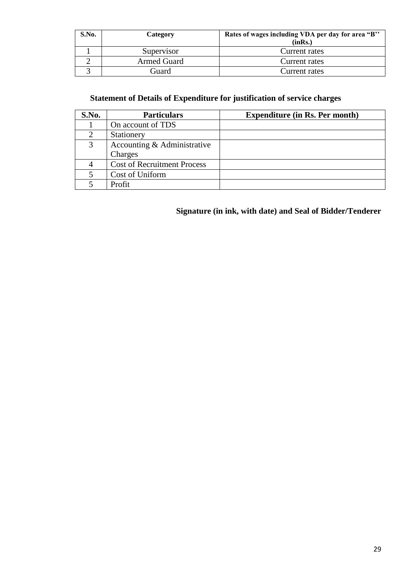| S.No. | Category           | Rates of wages including VDA per day for area "B"<br>(inRs.) |
|-------|--------------------|--------------------------------------------------------------|
|       | Supervisor         | Current rates                                                |
|       | <b>Armed Guard</b> | Current rates                                                |
|       | Guard              | Current rates                                                |

### **Statement of Details of Expenditure for justification of service charges**

| S.No. | <b>Particulars</b>                 | <b>Expenditure (in Rs. Per month)</b> |
|-------|------------------------------------|---------------------------------------|
|       | On account of TDS                  |                                       |
|       | Stationery                         |                                       |
| 3     | Accounting & Administrative        |                                       |
|       | Charges                            |                                       |
|       | <b>Cost of Recruitment Process</b> |                                       |
|       | Cost of Uniform                    |                                       |
|       | Profit                             |                                       |

### **Signature (in ink, with date) and Seal of Bidder/Tenderer**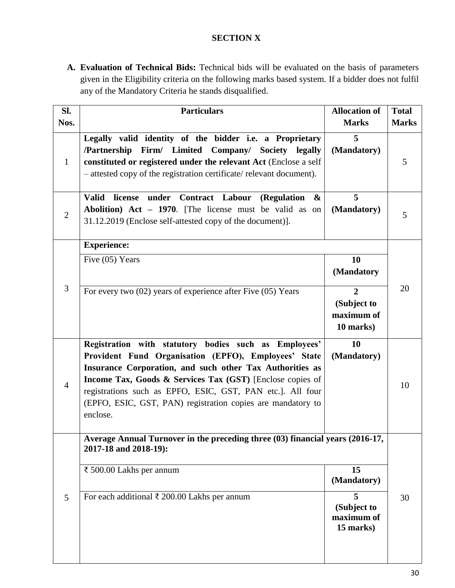### **SECTION X**

**A. Evaluation of Technical Bids:** Technical bids will be evaluated on the basis of parameters given in the Eligibility criteria on the following marks based system. If a bidder does not fulfil any of the Mandatory Criteria he stands disqualified.

| SI.<br>Nos.    | <b>Particulars</b>                                                                                                                                                                                                                                                                                                                                                              | <b>Allocation of</b><br><b>Marks</b>                             | <b>Total</b><br><b>Marks</b> |
|----------------|---------------------------------------------------------------------------------------------------------------------------------------------------------------------------------------------------------------------------------------------------------------------------------------------------------------------------------------------------------------------------------|------------------------------------------------------------------|------------------------------|
|                |                                                                                                                                                                                                                                                                                                                                                                                 | 5                                                                |                              |
| $\mathbf{1}$   | Legally valid identity of the bidder i.e. a Proprietary<br>/Partnership Firm/ Limited Company/ Society legally<br>constituted or registered under the relevant Act (Enclose a self<br>- attested copy of the registration certificate/ relevant document).                                                                                                                      | (Mandatory)                                                      | 5                            |
| $\overline{2}$ | license under Contract Labour (Regulation<br><b>Valid</b><br>$\boldsymbol{\alpha}$<br><b>Abolition</b> ) Act $-1970$ . [The license must be valid as on<br>31.12.2019 (Enclose self-attested copy of the document)].                                                                                                                                                            | 5<br>(Mandatory)                                                 | 5                            |
|                | <b>Experience:</b>                                                                                                                                                                                                                                                                                                                                                              |                                                                  |                              |
|                | Five $(05)$ Years                                                                                                                                                                                                                                                                                                                                                               | 10<br>(Mandatory                                                 |                              |
| 3              | For every two $(02)$ years of experience after Five $(05)$ Years                                                                                                                                                                                                                                                                                                                | $\overline{2}$<br>(Subject to<br>maximum of<br>10 marks)         | 20                           |
| 4              | Registration with statutory bodies such as Employees'<br>Provident Fund Organisation (EPFO), Employees' State<br>Insurance Corporation, and such other Tax Authorities as<br>Income Tax, Goods & Services Tax (GST) [Enclose copies of<br>registrations such as EPFO, ESIC, GST, PAN etc.]. All four<br>(EPFO, ESIC, GST, PAN) registration copies are mandatory to<br>enclose. | 10<br>(Mandatory)                                                | 10                           |
| 5              | Average Annual Turnover in the preceding three (03) financial years (2016-17,<br>2017-18 and 2018-19):<br>₹ 500.00 Lakhs per annum<br>For each additional $\bar{\tau}$ 200.00 Lakhs per annum                                                                                                                                                                                   | 15<br>(Mandatory)<br>5<br>(Subject to<br>maximum of<br>15 marks) | 30                           |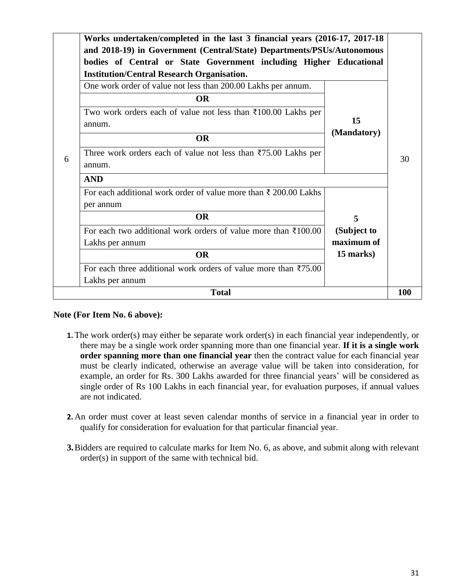|   | Works undertaken/completed in the last 3 financial years (2016-17, 2017-18)<br>and 2018-19) in Government (Central/State) Departments/PSUs/Autonomous<br>bodies of Central or State Government including Higher Educational<br><b>Institution/Central Research Organisation.</b> |             |            |
|---|----------------------------------------------------------------------------------------------------------------------------------------------------------------------------------------------------------------------------------------------------------------------------------|-------------|------------|
|   | One work order of value not less than 200.00 Lakhs per annum.                                                                                                                                                                                                                    |             |            |
|   | <b>OR</b>                                                                                                                                                                                                                                                                        |             |            |
|   | Two work orders each of value not less than ₹100.00 Lakhs per<br>annum.                                                                                                                                                                                                          | 15          |            |
|   | <b>OR</b>                                                                                                                                                                                                                                                                        | (Mandatory) |            |
| 6 | Three work orders each of value not less than $\overline{575.00}$ Lakhs per<br>annum.                                                                                                                                                                                            |             | 30         |
|   | <b>AND</b>                                                                                                                                                                                                                                                                       |             |            |
|   | For each additional work order of value more than $\bar{\tau}$ 200.00 Lakhs<br>per annum                                                                                                                                                                                         |             |            |
|   | <b>OR</b>                                                                                                                                                                                                                                                                        | 5           |            |
|   | For each two additional work orders of value more than $\bar{\epsilon}$ 100.00                                                                                                                                                                                                   | (Subject to |            |
|   | Lakhs per annum                                                                                                                                                                                                                                                                  | maximum of  |            |
|   | <b>OR</b>                                                                                                                                                                                                                                                                        | 15 marks)   |            |
|   | For each three additional work orders of value more than $\overline{575.00}$                                                                                                                                                                                                     |             |            |
|   | Lakhs per annum                                                                                                                                                                                                                                                                  |             |            |
|   | <b>Total</b>                                                                                                                                                                                                                                                                     |             | <b>100</b> |

### **Note (For Item No. 6 above):**

- **1.** The work order(s) may either be separate work order(s) in each financial year independently, or there may be a single work order spanning more than one financial year. **If it is a single work order spanning more than one financial year** then the contract value for each financial year must be clearly indicated, otherwise an average value will be taken into consideration, for example, an order for Rs. 300 Lakhs awarded for three financial years' will be considered as single order of Rs 100 Lakhs in each financial year, for evaluation purposes, if annual values are not indicated.
- **2.**An order must cover at least seven calendar months of service in a financial year in order to qualify for consideration for evaluation for that particular financial year.
- **3.**Bidders are required to calculate marks for Item No. 6, as above, and submit along with relevant order(s) in support of the same with technical bid.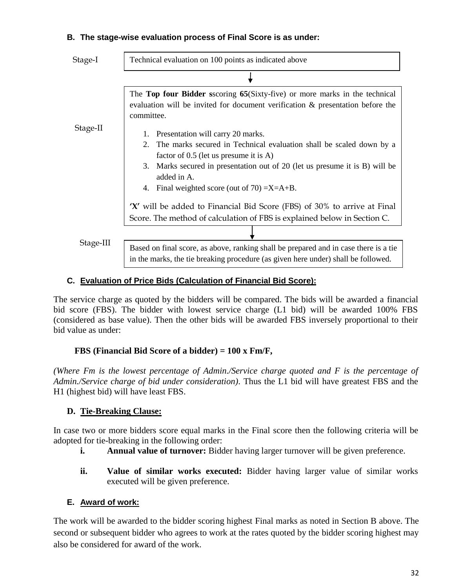### **B. The stage-wise evaluation process of Final Score is as under:**

| Stage-I   | Technical evaluation on 100 points as indicated above                                                                                                                      |
|-----------|----------------------------------------------------------------------------------------------------------------------------------------------------------------------------|
|           |                                                                                                                                                                            |
|           | The Top four Bidder secoring 65(Sixty-five) or more marks in the technical<br>evaluation will be invited for document verification & presentation before the<br>committee. |
| Stage-II  | Presentation will carry 20 marks.<br>1.<br>2. The marks secured in Technical evaluation shall be scaled down by a<br>factor of $0.5$ (let us presume it is A)              |
|           | Marks secured in presentation out of 20 (let us presume it is B) will be<br>3.<br>added in A.                                                                              |
|           | 4. Final weighted score (out of 70) = $X=A+B$ .                                                                                                                            |
|           | 'X' will be added to Financial Bid Score (FBS) of 30% to arrive at Final                                                                                                   |
|           | Score. The method of calculation of FBS is explained below in Section C.                                                                                                   |
|           |                                                                                                                                                                            |
| Stage-III | Based on final score, as above, ranking shall be prepared and in case there is a tie<br>in the marks, the tie breaking procedure (as given here under) shall be followed.  |

### **C. Evaluation of Price Bids (Calculation of Financial Bid Score):**

The service charge as quoted by the bidders will be compared. The bids will be awarded a financial bid score (FBS). The bidder with lowest service charge (L1 bid) will be awarded 100% FBS (considered as base value). Then the other bids will be awarded FBS inversely proportional to their bid value as under:

### **FBS (Financial Bid Score of a bidder) = 100 x Fm/F,**

*(Where Fm is the lowest percentage of Admin./Service charge quoted and F is the percentage of Admin./Service charge of bid under consideration)*. Thus the L1 bid will have greatest FBS and the H1 (highest bid) will have least FBS.

### **D. Tie-Breaking Clause:**

In case two or more bidders score equal marks in the Final score then the following criteria will be adopted for tie-breaking in the following order:

- **i. Annual value of turnover:** Bidder having larger turnover will be given preference.
- **ii. Value of similar works executed:** Bidder having larger value of similar works executed will be given preference.

### **E. Award of work:**

The work will be awarded to the bidder scoring highest Final marks as noted in Section B above. The second or subsequent bidder who agrees to work at the rates quoted by the bidder scoring highest may also be considered for award of the work.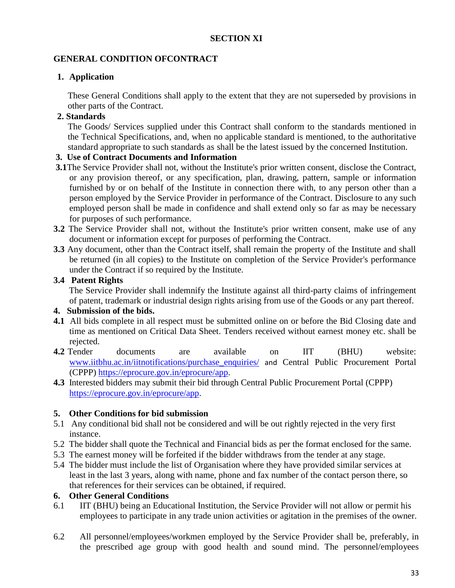### **SECTION XI**

### **GENERAL CONDITION OFCONTRACT**

### **1. Application**

These General Conditions shall apply to the extent that they are not superseded by provisions in other parts of the Contract.

### **2. Standards**

The Goods/ Services supplied under this Contract shall conform to the standards mentioned in the Technical Specifications, and, when no applicable standard is mentioned, to the authoritative standard appropriate to such standards as shall be the latest issued by the concerned Institution.

### **3. Use of Contract Documents and Information**

- **3.1**The Service Provider shall not, without the Institute's prior written consent, disclose the Contract, or any provision thereof, or any specification, plan, drawing, pattern, sample or information furnished by or on behalf of the Institute in connection there with, to any person other than a person employed by the Service Provider in performance of the Contract. Disclosure to any such employed person shall be made in confidence and shall extend only so far as may be necessary for purposes of such performance.
- **3.2** The Service Provider shall not, without the Institute's prior written consent, make use of any document or information except for purposes of performing the Contract.
- **3.3** Any document, other than the Contract itself, shall remain the property of the Institute and shall be returned (in all copies) to the Institute on completion of the Service Provider's performance under the Contract if so required by the Institute.

### **3.4 Patent Rights**

 The Service Provider shall indemnify the Institute against all third-party claims of infringement of patent, trademark or industrial design rights arising from use of the Goods or any part thereof.

### **4. Submission of the bids.**

- **4.1** All bids complete in all respect must be submitted online on or before the Bid Closing date and time as mentioned on Critical Data Sheet. Tenders received without earnest money etc. shall be rejected.
- **4.2** Tender documents are available on IIT (BHU) website: [www.iitbhu.ac.in/iitnotifications/purchase\\_enquiries/](http://www.iitbhu.ac.in/iitnotifications/purchase_enquiries/) and Central Public Procurement Portal (CPPP) [https://eprocure.gov.in/eprocure/app.](https://eprocure.gov.in/eprocure/app)
- **4.3** Interested bidders may submit their bid through Central Public Procurement Portal (CPPP) [https://eprocure.gov.in/eprocure/app.](https://eprocure.gov.in/eprocure/app)

### **5. Other Conditions for bid submission**

- 5.1 Any conditional bid shall not be considered and will be out rightly rejected in the very first instance.
- 5.2 The bidder shall quote the Technical and Financial bids as per the format enclosed for the same.
- 5.3 The earnest money will be forfeited if the bidder withdraws from the tender at any stage.
- 5.4 The bidder must include the list of Organisation where they have provided similar services at least in the last 3 years, along with name, phone and fax number of the contact person there, so that references for their services can be obtained, if required.

### **6. Other General Conditions**

- 6.1 IIT (BHU) being an Educational Institution, the Service Provider will not allow or permit his employees to participate in any trade union activities or agitation in the premises of the owner.
- 6.2 All personnel/employees/workmen employed by the Service Provider shall be, preferably, in the prescribed age group with good health and sound mind. The personnel/employees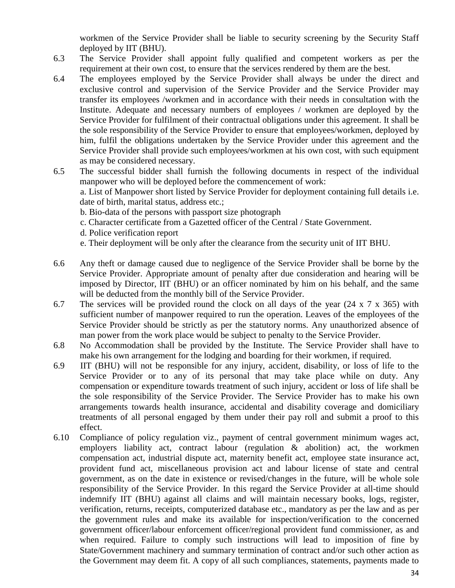workmen of the Service Provider shall be liable to security screening by the Security Staff deployed by IIT (BHU).

- 6.3 The Service Provider shall appoint fully qualified and competent workers as per the requirement at their own cost, to ensure that the services rendered by them are the best.
- 6.4 The employees employed by the Service Provider shall always be under the direct and exclusive control and supervision of the Service Provider and the Service Provider may transfer its employees /workmen and in accordance with their needs in consultation with the Institute. Adequate and necessary numbers of employees / workmen are deployed by the Service Provider for fulfilment of their contractual obligations under this agreement. It shall be the sole responsibility of the Service Provider to ensure that employees/workmen, deployed by him, fulfil the obligations undertaken by the Service Provider under this agreement and the Service Provider shall provide such employees/workmen at his own cost, with such equipment as may be considered necessary.
- 6.5 The successful bidder shall furnish the following documents in respect of the individual manpower who will be deployed before the commencement of work: a. List of Manpower short listed by Service Provider for deployment containing full details i.e.

date of birth, marital status, address etc.;

- b. Bio-data of the persons with passport size photograph
- c. Character certificate from a Gazetted officer of the Central / State Government.
- d. Police verification report
- e. Their deployment will be only after the clearance from the security unit of IIT BHU.
- 6.6 Any theft or damage caused due to negligence of the Service Provider shall be borne by the Service Provider. Appropriate amount of penalty after due consideration and hearing will be imposed by Director, IIT (BHU) or an officer nominated by him on his behalf, and the same will be deducted from the monthly bill of the Service Provider.
- 6.7 The services will be provided round the clock on all days of the year (24 x 7 x 365) with sufficient number of manpower required to run the operation. Leaves of the employees of the Service Provider should be strictly as per the statutory norms. Any unauthorized absence of man power from the work place would be subject to penalty to the Service Provider.
- 6.8 No Accommodation shall be provided by the Institute. The Service Provider shall have to make his own arrangement for the lodging and boarding for their workmen, if required.
- 6.9 IIT (BHU) will not be responsible for any injury, accident, disability, or loss of life to the Service Provider or to any of its personal that may take place while on duty. Any compensation or expenditure towards treatment of such injury, accident or loss of life shall be the sole responsibility of the Service Provider. The Service Provider has to make his own arrangements towards health insurance, accidental and disability coverage and domiciliary treatments of all personal engaged by them under their pay roll and submit a proof to this effect.
- 6.10 Compliance of policy regulation viz., payment of central government minimum wages act, employers liability act, contract labour (regulation & abolition) act, the workmen compensation act, industrial dispute act, maternity benefit act, employee state insurance act, provident fund act, miscellaneous provision act and labour license of state and central government, as on the date in existence or revised/changes in the future, will be whole sole responsibility of the Service Provider. In this regard the Service Provider at all-time should indemnify IIT (BHU) against all claims and will maintain necessary books, logs, register, verification, returns, receipts, computerized database etc., mandatory as per the law and as per the government rules and make its available for inspection/verification to the concerned government officer/labour enforcement officer/regional provident fund commissioner, as and when required. Failure to comply such instructions will lead to imposition of fine by State/Government machinery and summary termination of contract and/or such other action as the Government may deem fit. A copy of all such compliances, statements, payments made to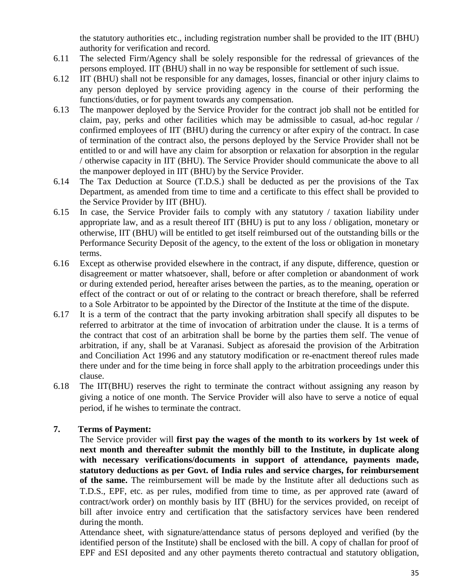the statutory authorities etc., including registration number shall be provided to the IIT (BHU) authority for verification and record.

- 6.11 The selected Firm/Agency shall be solely responsible for the redressal of grievances of the persons employed. IIT (BHU) shall in no way be responsible for settlement of such issue.
- 6.12 IIT (BHU) shall not be responsible for any damages, losses, financial or other injury claims to any person deployed by service providing agency in the course of their performing the functions/duties, or for payment towards any compensation.
- 6.13 The manpower deployed by the Service Provider for the contract job shall not be entitled for claim, pay, perks and other facilities which may be admissible to casual, ad-hoc regular / confirmed employees of IIT (BHU) during the currency or after expiry of the contract. In case of termination of the contract also, the persons deployed by the Service Provider shall not be entitled to or and will have any claim for absorption or relaxation for absorption in the regular / otherwise capacity in IIT (BHU). The Service Provider should communicate the above to all the manpower deployed in IIT (BHU) by the Service Provider.
- 6.14 The Tax Deduction at Source (T.D.S.) shall be deducted as per the provisions of the Tax Department, as amended from time to time and a certificate to this effect shall be provided to the Service Provider by IIT (BHU).
- 6.15 In case, the Service Provider fails to comply with any statutory / taxation liability under appropriate law, and as a result thereof IIT (BHU) is put to any loss / obligation, monetary or otherwise, IIT (BHU) will be entitled to get itself reimbursed out of the outstanding bills or the Performance Security Deposit of the agency, to the extent of the loss or obligation in monetary terms.
- 6.16 Except as otherwise provided elsewhere in the contract, if any dispute, difference, question or disagreement or matter whatsoever, shall, before or after completion or abandonment of work or during extended period, hereafter arises between the parties, as to the meaning, operation or effect of the contract or out of or relating to the contract or breach therefore, shall be referred to a Sole Arbitrator to be appointed by the Director of the Institute at the time of the dispute.
- 6.17 It is a term of the contract that the party invoking arbitration shall specify all disputes to be referred to arbitrator at the time of invocation of arbitration under the clause. It is a terms of the contract that cost of an arbitration shall be borne by the parties them self. The venue of arbitration, if any, shall be at Varanasi. Subject as aforesaid the provision of the Arbitration and Conciliation Act 1996 and any statutory modification or re-enactment thereof rules made there under and for the time being in force shall apply to the arbitration proceedings under this clause.
- 6.18 The IIT(BHU) reserves the right to terminate the contract without assigning any reason by giving a notice of one month. The Service Provider will also have to serve a notice of equal period, if he wishes to terminate the contract.

### **7. Terms of Payment:**

The Service provider will **first pay the wages of the month to its workers by 1st week of next month and thereafter submit the monthly bill to the Institute, in duplicate along with necessary verifications/documents in support of attendance, payments made, statutory deductions as per Govt. of India rules and service charges, for reimbursement of the same.** The reimbursement will be made by the Institute after all deductions such as T.D.S., EPF, etc. as per rules, modified from time to time, as per approved rate (award of contract/work order) on monthly basis by IIT (BHU) for the services provided, on receipt of bill after invoice entry and certification that the satisfactory services have been rendered during the month.

Attendance sheet, with signature/attendance status of persons deployed and verified (by the identified person of the Institute) shall be enclosed with the bill. A copy of challan for proof of EPF and ESI deposited and any other payments thereto contractual and statutory obligation,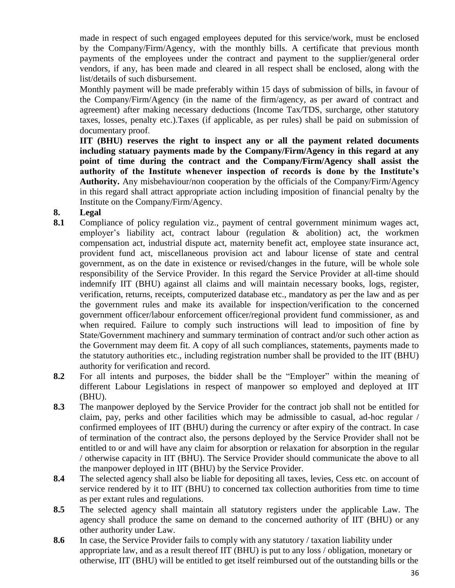made in respect of such engaged employees deputed for this service/work, must be enclosed by the Company/Firm/Agency, with the monthly bills. A certificate that previous month payments of the employees under the contract and payment to the supplier/general order vendors, if any, has been made and cleared in all respect shall be enclosed, along with the list/details of such disbursement.

Monthly payment will be made preferably within 15 days of submission of bills, in favour of the Company/Firm/Agency (in the name of the firm/agency, as per award of contract and agreement) after making necessary deductions (Income Tax/TDS, surcharge, other statutory taxes, losses, penalty etc.).Taxes (if applicable, as per rules) shall be paid on submission of documentary proof.

**IIT (BHU) reserves the right to inspect any or all the payment related documents including statuary payments made by the Company/Firm/Agency in this regard at any point of time during the contract and the Company/Firm/Agency shall assist the authority of the Institute whenever inspection of records is done by the Institute's Authority.** Any misbehaviour/non cooperation by the officials of the Company/Firm/Agency in this regard shall attract appropriate action including imposition of financial penalty by the Institute on the Company/Firm/Agency.

- **8. Legal**
- **8.1** Compliance of policy regulation viz., payment of central government minimum wages act, employer's liability act, contract labour (regulation & abolition) act, the workmen compensation act, industrial dispute act, maternity benefit act, employee state insurance act, provident fund act, miscellaneous provision act and labour license of state and central government, as on the date in existence or revised/changes in the future, will be whole sole responsibility of the Service Provider. In this regard the Service Provider at all-time should indemnify IIT (BHU) against all claims and will maintain necessary books, logs, register, verification, returns, receipts, computerized database etc., mandatory as per the law and as per the government rules and make its available for inspection/verification to the concerned government officer/labour enforcement officer/regional provident fund commissioner, as and when required. Failure to comply such instructions will lead to imposition of fine by State/Government machinery and summary termination of contract and/or such other action as the Government may deem fit. A copy of all such compliances, statements, payments made to the statutory authorities etc., including registration number shall be provided to the IIT (BHU) authority for verification and record.
- **8.2** For all intents and purposes, the bidder shall be the "Employer" within the meaning of different Labour Legislations in respect of manpower so employed and deployed at IIT (BHU).
- **8.3** The manpower deployed by the Service Provider for the contract job shall not be entitled for claim, pay, perks and other facilities which may be admissible to casual, ad-hoc regular / confirmed employees of IIT (BHU) during the currency or after expiry of the contract. In case of termination of the contract also, the persons deployed by the Service Provider shall not be entitled to or and will have any claim for absorption or relaxation for absorption in the regular / otherwise capacity in IIT (BHU). The Service Provider should communicate the above to all the manpower deployed in IIT (BHU) by the Service Provider.
- **8.4** The selected agency shall also be liable for depositing all taxes, levies, Cess etc. on account of service rendered by it to IIT (BHU) to concerned tax collection authorities from time to time as per extant rules and regulations.
- **8.5** The selected agency shall maintain all statutory registers under the applicable Law. The agency shall produce the same on demand to the concerned authority of IIT (BHU) or any other authority under Law.
- **8.6** In case, the Service Provider fails to comply with any statutory / taxation liability under appropriate law, and as a result thereof IIT (BHU) is put to any loss / obligation, monetary or otherwise, IIT (BHU) will be entitled to get itself reimbursed out of the outstanding bills or the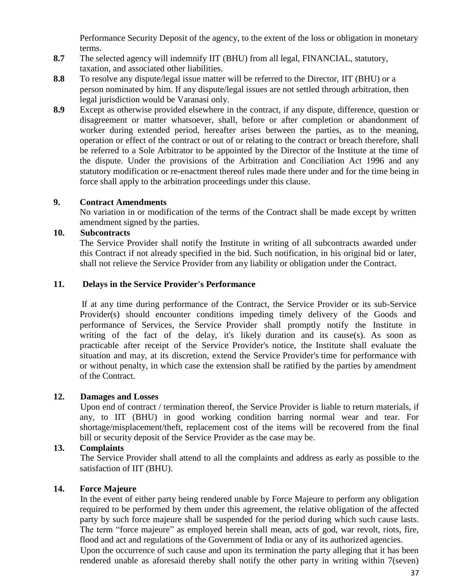Performance Security Deposit of the agency, to the extent of the loss or obligation in monetary terms.

- **8.7** The selected agency will indemnify IIT (BHU) from all legal, FINANCIAL, statutory, taxation, and associated other liabilities.
- **8.8** To resolve any dispute/legal issue matter will be referred to the Director, IIT (BHU) or a person nominated by him. If any dispute/legal issues are not settled through arbitration, then legal jurisdiction would be Varanasi only.
- **8.9** Except as otherwise provided elsewhere in the contract, if any dispute, difference, question or disagreement or matter whatsoever, shall, before or after completion or abandonment of worker during extended period, hereafter arises between the parties, as to the meaning, operation or effect of the contract or out of or relating to the contract or breach therefore, shall be referred to a Sole Arbitrator to be appointed by the Director of the Institute at the time of the dispute. Under the provisions of the Arbitration and Conciliation Act 1996 and any statutory modification or re-enactment thereof rules made there under and for the time being in force shall apply to the arbitration proceedings under this clause.

### **9. Contract Amendments**

No variation in or modification of the terms of the Contract shall be made except by written amendment signed by the parties.

### **10. Subcontracts**

The Service Provider shall notify the Institute in writing of all subcontracts awarded under this Contract if not already specified in the bid. Such notification, in his original bid or later, shall not relieve the Service Provider from any liability or obligation under the Contract.

### **11. Delays in the Service Provider's Performance**

 If at any time during performance of the Contract, the Service Provider or its sub-Service Provider(s) should encounter conditions impeding timely delivery of the Goods and performance of Services, the Service Provider shall promptly notify the Institute in writing of the fact of the delay, it's likely duration and its cause(s). As soon as practicable after receipt of the Service Provider's notice, the Institute shall evaluate the situation and may, at its discretion, extend the Service Provider's time for performance with or without penalty, in which case the extension shall be ratified by the parties by amendment of the Contract.

### **12. Damages and Losses**

Upon end of contract / termination thereof, the Service Provider is liable to return materials, if any, to IIT (BHU) in good working condition barring normal wear and tear. For shortage/misplacement/theft, replacement cost of the items will be recovered from the final bill or security deposit of the Service Provider as the case may be.

### **13. Complaints**

The Service Provider shall attend to all the complaints and address as early as possible to the satisfaction of IIT (BHU).

### **14. Force Majeure**

In the event of either party being rendered unable by Force Majeure to perform any obligation required to be performed by them under this agreement, the relative obligation of the affected party by such force majeure shall be suspended for the period during which such cause lasts. The term "force majeure" as employed herein shall mean, acts of god, war revolt, riots, fire, flood and act and regulations of the Government of India or any of its authorized agencies.

Upon the occurrence of such cause and upon its termination the party alleging that it has been rendered unable as aforesaid thereby shall notify the other party in writing within 7(seven)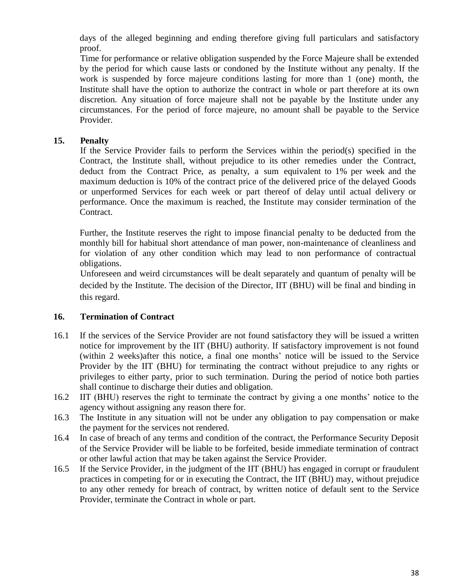days of the alleged beginning and ending therefore giving full particulars and satisfactory proof.

Time for performance or relative obligation suspended by the Force Majeure shall be extended by the period for which cause lasts or condoned by the Institute without any penalty. If the work is suspended by force majeure conditions lasting for more than 1 (one) month, the Institute shall have the option to authorize the contract in whole or part therefore at its own discretion. Any situation of force majeure shall not be payable by the Institute under any circumstances. For the period of force majeure, no amount shall be payable to the Service Provider.

### **15. Penalty**

If the Service Provider fails to perform the Services within the period(s) specified in the Contract, the Institute shall, without prejudice to its other remedies under the Contract, deduct from the Contract Price, as penalty, a sum equivalent to 1% per week and the maximum deduction is 10% of the contract price of the delivered price of the delayed Goods or unperformed Services for each week or part thereof of delay until actual delivery or performance. Once the maximum is reached, the Institute may consider termination of the Contract.

Further, the Institute reserves the right to impose financial penalty to be deducted from the monthly bill for habitual short attendance of man power, non-maintenance of cleanliness and for violation of any other condition which may lead to non performance of contractual obligations.

Unforeseen and weird circumstances will be dealt separately and quantum of penalty will be decided by the Institute. The decision of the Director, IIT (BHU) will be final and binding in this regard.

### **16. Termination of Contract**

- 16.1 If the services of the Service Provider are not found satisfactory they will be issued a written notice for improvement by the IIT (BHU) authority. If satisfactory improvement is not found (within 2 weeks)after this notice, a final one months" notice will be issued to the Service Provider by the IIT (BHU) for terminating the contract without prejudice to any rights or privileges to either party, prior to such termination. During the period of notice both parties shall continue to discharge their duties and obligation.
- 16.2 IIT (BHU) reserves the right to terminate the contract by giving a one months" notice to the agency without assigning any reason there for.
- 16.3 The Institute in any situation will not be under any obligation to pay compensation or make the payment for the services not rendered.
- 16.4 In case of breach of any terms and condition of the contract, the Performance Security Deposit of the Service Provider will be liable to be forfeited, beside immediate termination of contract or other lawful action that may be taken against the Service Provider.
- 16.5 If the Service Provider, in the judgment of the IIT (BHU) has engaged in corrupt or fraudulent practices in competing for or in executing the Contract, the IIT (BHU) may, without prejudice to any other remedy for breach of contract, by written notice of default sent to the Service Provider, terminate the Contract in whole or part.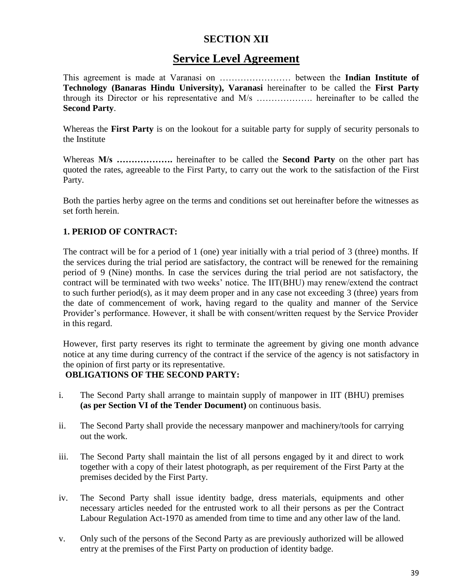### **SECTION XII**

### **Service Level Agreement**

This agreement is made at Varanasi on …………………… between the **Indian Institute of Technology (Banaras Hindu University), Varanasi** hereinafter to be called the **First Party**  through its Director or his representative and M/s ………………. hereinafter to be called the **Second Party**.

Whereas the **First Party** is on the lookout for a suitable party for supply of security personals to the Institute

Whereas **M/s ……………….** hereinafter to be called the **Second Party** on the other part has quoted the rates, agreeable to the First Party, to carry out the work to the satisfaction of the First Party.

Both the parties herby agree on the terms and conditions set out hereinafter before the witnesses as set forth herein.

### **1. PERIOD OF CONTRACT:**

The contract will be for a period of 1 (one) year initially with a trial period of 3 (three) months. If the services during the trial period are satisfactory, the contract will be renewed for the remaining period of 9 (Nine) months. In case the services during the trial period are not satisfactory, the contract will be terminated with two weeks" notice. The IIT(BHU) may renew/extend the contract to such further period(s), as it may deem proper and in any case not exceeding 3 (three) years from the date of commencement of work, having regard to the quality and manner of the Service Provider"s performance. However, it shall be with consent/written request by the Service Provider in this regard.

However, first party reserves its right to terminate the agreement by giving one month advance notice at any time during currency of the contract if the service of the agency is not satisfactory in the opinion of first party or its representative.

### **OBLIGATIONS OF THE SECOND PARTY:**

- i. The Second Party shall arrange to maintain supply of manpower in IIT (BHU) premises **(as per Section VI of the Tender Document)** on continuous basis.
- ii. The Second Party shall provide the necessary manpower and machinery/tools for carrying out the work.
- iii. The Second Party shall maintain the list of all persons engaged by it and direct to work together with a copy of their latest photograph, as per requirement of the First Party at the premises decided by the First Party.
- iv. The Second Party shall issue identity badge, dress materials, equipments and other necessary articles needed for the entrusted work to all their persons as per the Contract Labour Regulation Act-1970 as amended from time to time and any other law of the land.
- v. Only such of the persons of the Second Party as are previously authorized will be allowed entry at the premises of the First Party on production of identity badge.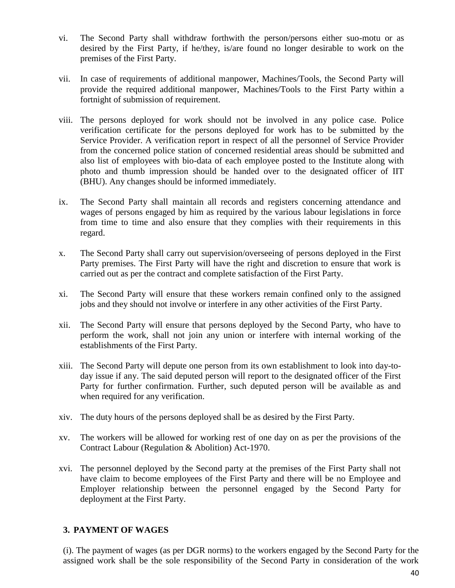- vi. The Second Party shall withdraw forthwith the person/persons either suo-motu or as desired by the First Party, if he/they, is/are found no longer desirable to work on the premises of the First Party.
- vii. In case of requirements of additional manpower, Machines/Tools, the Second Party will provide the required additional manpower, Machines/Tools to the First Party within a fortnight of submission of requirement.
- viii. The persons deployed for work should not be involved in any police case. Police verification certificate for the persons deployed for work has to be submitted by the Service Provider. A verification report in respect of all the personnel of Service Provider from the concerned police station of concerned residential areas should be submitted and also list of employees with bio-data of each employee posted to the Institute along with photo and thumb impression should be handed over to the designated officer of IIT (BHU). Any changes should be informed immediately.
- ix. The Second Party shall maintain all records and registers concerning attendance and wages of persons engaged by him as required by the various labour legislations in force from time to time and also ensure that they complies with their requirements in this regard.
- x. The Second Party shall carry out supervision/overseeing of persons deployed in the First Party premises. The First Party will have the right and discretion to ensure that work is carried out as per the contract and complete satisfaction of the First Party.
- xi. The Second Party will ensure that these workers remain confined only to the assigned jobs and they should not involve or interfere in any other activities of the First Party.
- xii. The Second Party will ensure that persons deployed by the Second Party, who have to perform the work, shall not join any union or interfere with internal working of the establishments of the First Party.
- xiii. The Second Party will depute one person from its own establishment to look into day-today issue if any. The said deputed person will report to the designated officer of the First Party for further confirmation. Further, such deputed person will be available as and when required for any verification.
- xiv. The duty hours of the persons deployed shall be as desired by the First Party.
- xv. The workers will be allowed for working rest of one day on as per the provisions of the Contract Labour (Regulation & Abolition) Act-1970.
- xvi. The personnel deployed by the Second party at the premises of the First Party shall not have claim to become employees of the First Party and there will be no Employee and Employer relationship between the personnel engaged by the Second Party for deployment at the First Party.

### **3. PAYMENT OF WAGES**

(i). The payment of wages (as per DGR norms) to the workers engaged by the Second Party for the assigned work shall be the sole responsibility of the Second Party in consideration of the work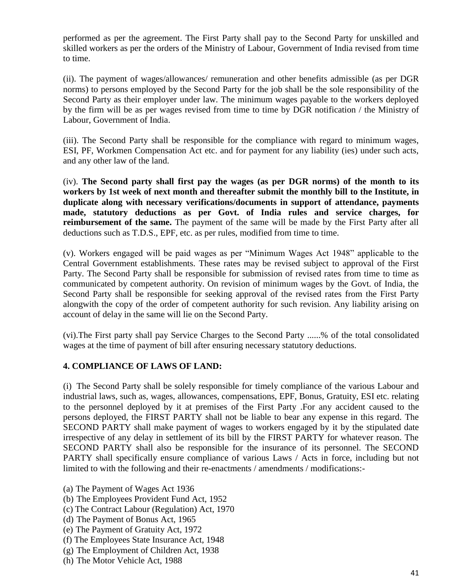performed as per the agreement. The First Party shall pay to the Second Party for unskilled and skilled workers as per the orders of the Ministry of Labour, Government of India revised from time to time.

(ii). The payment of wages/allowances/ remuneration and other benefits admissible (as per DGR norms) to persons employed by the Second Party for the job shall be the sole responsibility of the Second Party as their employer under law. The minimum wages payable to the workers deployed by the firm will be as per wages revised from time to time by DGR notification / the Ministry of Labour, Government of India.

(iii). The Second Party shall be responsible for the compliance with regard to minimum wages, ESI, PF, Workmen Compensation Act etc. and for payment for any liability (ies) under such acts, and any other law of the land.

(iv). **The Second party shall first pay the wages (as per DGR norms) of the month to its workers by 1st week of next month and thereafter submit the monthly bill to the Institute, in duplicate along with necessary verifications/documents in support of attendance, payments made, statutory deductions as per Govt. of India rules and service charges, for reimbursement of the same.** The payment of the same will be made by the First Party after all deductions such as T.D.S., EPF, etc. as per rules, modified from time to time.

(v). Workers engaged will be paid wages as per "Minimum Wages Act 1948" applicable to the Central Government establishments. These rates may be revised subject to approval of the First Party. The Second Party shall be responsible for submission of revised rates from time to time as communicated by competent authority. On revision of minimum wages by the Govt. of India, the Second Party shall be responsible for seeking approval of the revised rates from the First Party alongwith the copy of the order of competent authority for such revision. Any liability arising on account of delay in the same will lie on the Second Party.

(vi).The First party shall pay Service Charges to the Second Party ......% of the total consolidated wages at the time of payment of bill after ensuring necessary statutory deductions.

### **4. COMPLIANCE OF LAWS OF LAND:**

(i) The Second Party shall be solely responsible for timely compliance of the various Labour and industrial laws, such as, wages, allowances, compensations, EPF, Bonus, Gratuity, ESI etc. relating to the personnel deployed by it at premises of the First Party .For any accident caused to the persons deployed, the FIRST PARTY shall not be liable to bear any expense in this regard. The SECOND PARTY shall make payment of wages to workers engaged by it by the stipulated date irrespective of any delay in settlement of its bill by the FIRST PARTY for whatever reason. The SECOND PARTY shall also be responsible for the insurance of its personnel. The SECOND PARTY shall specifically ensure compliance of various Laws / Acts in force, including but not limited to with the following and their re-enactments / amendments / modifications:-

- (a) The Payment of Wages Act 1936
- (b) The Employees Provident Fund Act, 1952
- (c) The Contract Labour (Regulation) Act, 1970
- (d) The Payment of Bonus Act, 1965
- (e) The Payment of Gratuity Act, 1972
- (f) The Employees State Insurance Act, 1948
- (g) The Employment of Children Act, 1938
- (h) The Motor Vehicle Act, 1988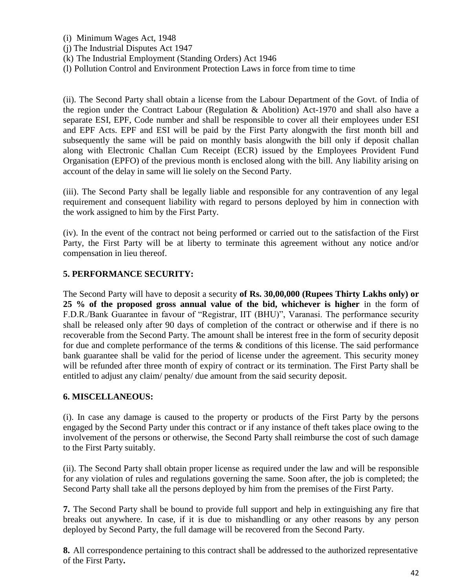- (i) Minimum Wages Act, 1948
- (j) The Industrial Disputes Act 1947
- (k) The Industrial Employment (Standing Orders) Act 1946
- (l) Pollution Control and Environment Protection Laws in force from time to time

(ii). The Second Party shall obtain a license from the Labour Department of the Govt. of India of the region under the Contract Labour (Regulation & Abolition) Act-1970 and shall also have a separate ESI, EPF, Code number and shall be responsible to cover all their employees under ESI and EPF Acts. EPF and ESI will be paid by the First Party alongwith the first month bill and subsequently the same will be paid on monthly basis alongwith the bill only if deposit challan along with Electronic Challan Cum Receipt (ECR) issued by the Employees Provident Fund Organisation (EPFO) of the previous month is enclosed along with the bill. Any liability arising on account of the delay in same will lie solely on the Second Party.

(iii). The Second Party shall be legally liable and responsible for any contravention of any legal requirement and consequent liability with regard to persons deployed by him in connection with the work assigned to him by the First Party.

(iv). In the event of the contract not being performed or carried out to the satisfaction of the First Party, the First Party will be at liberty to terminate this agreement without any notice and/or compensation in lieu thereof.

### **5. PERFORMANCE SECURITY:**

The Second Party will have to deposit a security **of Rs. 30,00,000 (Rupees Thirty Lakhs only) or 25 % of the proposed gross annual value of the bid, whichever is higher** in the form of F.D.R./Bank Guarantee in favour of "Registrar, IIT (BHU)", Varanasi. The performance security shall be released only after 90 days of completion of the contract or otherwise and if there is no recoverable from the Second Party. The amount shall be interest free in the form of security deposit for due and complete performance of the terms & conditions of this license. The said performance bank guarantee shall be valid for the period of license under the agreement. This security money will be refunded after three month of expiry of contract or its termination. The First Party shall be entitled to adjust any claim/ penalty/ due amount from the said security deposit.

### **6. MISCELLANEOUS:**

(i). In case any damage is caused to the property or products of the First Party by the persons engaged by the Second Party under this contract or if any instance of theft takes place owing to the involvement of the persons or otherwise, the Second Party shall reimburse the cost of such damage to the First Party suitably.

(ii). The Second Party shall obtain proper license as required under the law and will be responsible for any violation of rules and regulations governing the same. Soon after, the job is completed; the Second Party shall take all the persons deployed by him from the premises of the First Party.

**7.** The Second Party shall be bound to provide full support and help in extinguishing any fire that breaks out anywhere. In case, if it is due to mishandling or any other reasons by any person deployed by Second Party, the full damage will be recovered from the Second Party.

**8.** All correspondence pertaining to this contract shall be addressed to the authorized representative of the First Party**.**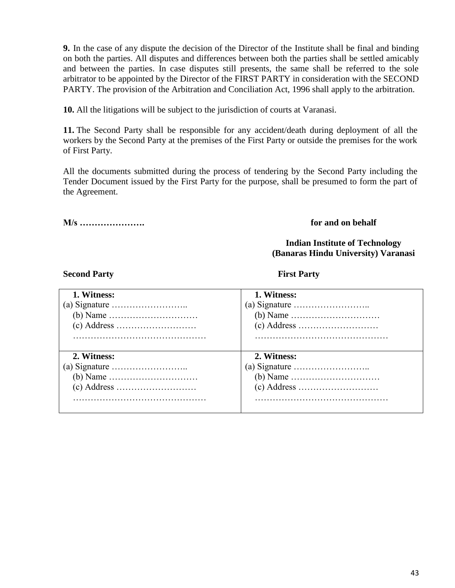**9.** In the case of any dispute the decision of the Director of the Institute shall be final and binding on both the parties. All disputes and differences between both the parties shall be settled amicably and between the parties. In case disputes still presents, the same shall be referred to the sole arbitrator to be appointed by the Director of the FIRST PARTY in consideration with the SECOND PARTY. The provision of the Arbitration and Conciliation Act, 1996 shall apply to the arbitration.

**10.** All the litigations will be subject to the jurisdiction of courts at Varanasi.

**11.** The Second Party shall be responsible for any accident/death during deployment of all the workers by the Second Party at the premises of the First Party or outside the premises for the work of First Party.

All the documents submitted during the process of tendering by the Second Party including the Tender Document issued by the First Party for the purpose, shall be presumed to form the part of the Agreement.

**M/s …………………. for and on behalf**

### **Indian Institute of Technology (Banaras Hindu University) Varanasi**

### **Second Party First Party**

| 1. Witness: | 1. Witness: |
|-------------|-------------|
|             |             |
|             |             |
|             |             |
|             |             |
|             |             |
| 2. Witness: | 2. Witness: |
|             |             |
|             |             |
|             |             |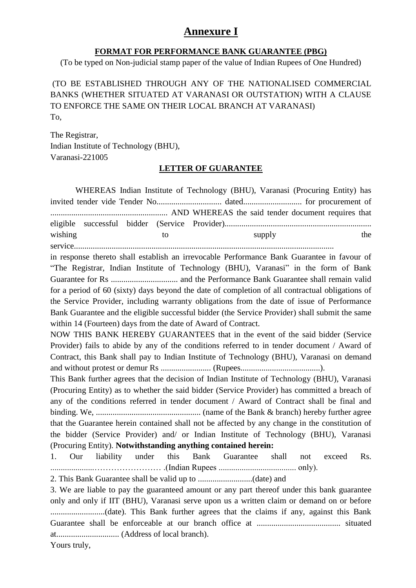### **Annexure I**

### **FORMAT FOR PERFORMANCE BANK GUARANTEE (PBG)**

(To be typed on Non-judicial stamp paper of the value of Indian Rupees of One Hundred)

(TO BE ESTABLISHED THROUGH ANY OF THE NATIONALISED COMMERCIAL BANKS (WHETHER SITUATED AT VARANASI OR OUTSTATION) WITH A CLAUSE TO ENFORCE THE SAME ON THEIR LOCAL BRANCH AT VARANASI) To,

The Registrar, Indian Institute of Technology (BHU), Varanasi-221005

### **LETTER OF GUARANTEE**

|                                                               |    | WHEREAS Indian Institute of Technology (BHU), Varanasi (Procuring Entity) has                   |     |
|---------------------------------------------------------------|----|-------------------------------------------------------------------------------------------------|-----|
| eligible                                                      |    |                                                                                                 |     |
| wishing                                                       | to | supply                                                                                          | the |
|                                                               |    |                                                                                                 |     |
|                                                               |    | in response thereto shall establish an irrevocable Performance Bank Guarantee in favour of      |     |
|                                                               |    | "The Registrar, Indian Institute of Technology (BHU), Varanasi" in the form of Bank             |     |
|                                                               |    |                                                                                                 |     |
|                                                               |    | for a period of 60 (sixty) days beyond the date of completion of all contractual obligations of |     |
|                                                               |    | the Service Provider, including warranty obligations from the date of issue of Performance      |     |
|                                                               |    | Bank Guarantee and the eligible successful bidder (the Service Provider) shall submit the same  |     |
| within 14 (Fourteen) days from the date of Award of Contract. |    |                                                                                                 |     |
|                                                               |    | NOW THIS BANK HEREBY GUARANTEES that in the event of the said bidder (Service                   |     |
|                                                               |    | Provider) fails to abide by any of the conditions referred to in tender document / Award of     |     |
|                                                               |    | Contract, this Bank shall pay to Indian Institute of Technology (BHU), Varanasi on demand       |     |
|                                                               |    |                                                                                                 |     |

This Bank further agrees that the decision of Indian Institute of Technology (BHU), Varanasi (Procuring Entity) as to whether the said bidder (Service Provider) has committed a breach of any of the conditions referred in tender document / Award of Contract shall be final and binding. We, .................................................. (name of the Bank & branch) hereby further agree that the Guarantee herein contained shall not be affected by any change in the constitution of the bidder (Service Provider) and/ or Indian Institute of Technology (BHU), Varanasi (Procuring Entity). **Notwithstanding anything contained herein:**

1. Our liability under this Bank Guarantee shall not exceed Rs. .....................…………………… .(Indian Rupees ..................................... only).

2. This Bank Guarantee shall be valid up to ..........................(date) and

3. We are liable to pay the guaranteed amount or any part thereof under this bank guarantee only and only if IIT (BHU), Varanasi serve upon us a written claim or demand on or before ..........................(date). This Bank further agrees that the claims if any, against this Bank Guarantee shall be enforceable at our branch office at ........................................ situated at.............................. (Address of local branch).

Yours truly,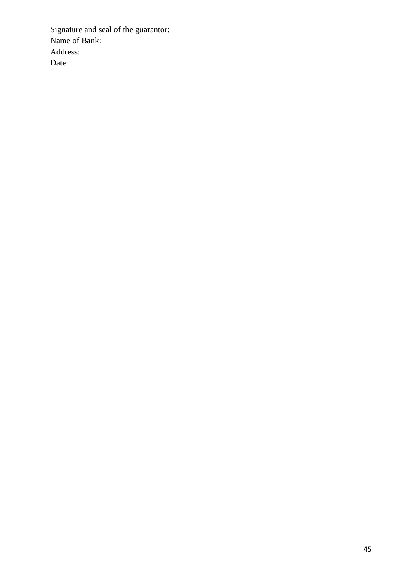Signature and seal of the guarantor: Name of Bank: Address: Date: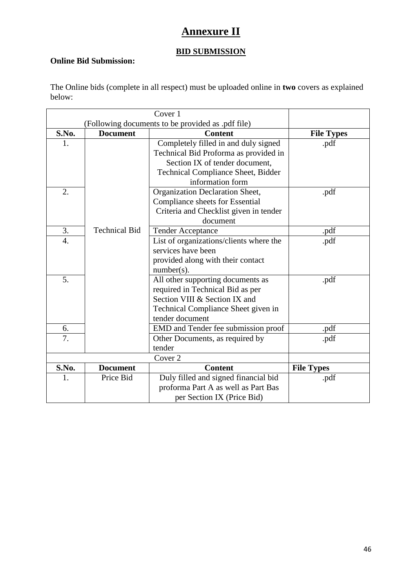## **Annexure II**

### **BID SUBMISSION**

### **Online Bid Submission:**

The Online bids (complete in all respect) must be uploaded online in **two** covers as explained below:

|                                                   |                      | Cover 1                                 |                   |  |
|---------------------------------------------------|----------------------|-----------------------------------------|-------------------|--|
|                                                   |                      |                                         |                   |  |
| (Following documents to be provided as .pdf file) |                      |                                         |                   |  |
| S.No.                                             | <b>Document</b>      | <b>Content</b>                          | <b>File Types</b> |  |
| 1.                                                |                      | Completely filled in and duly signed    | .pdf              |  |
|                                                   |                      | Technical Bid Proforma as provided in   |                   |  |
|                                                   |                      | Section IX of tender document,          |                   |  |
|                                                   |                      | Technical Compliance Sheet, Bidder      |                   |  |
|                                                   |                      | information form                        |                   |  |
| 2.                                                |                      | Organization Declaration Sheet,         | .pdf              |  |
|                                                   |                      | <b>Compliance sheets for Essential</b>  |                   |  |
|                                                   |                      | Criteria and Checklist given in tender  |                   |  |
|                                                   |                      | document                                |                   |  |
| 3.                                                | <b>Technical Bid</b> | <b>Tender Acceptance</b>                | .pdf              |  |
| $\overline{4}$ .                                  |                      | List of organizations/clients where the | .pdf              |  |
|                                                   |                      | services have been                      |                   |  |
|                                                   |                      | provided along with their contact       |                   |  |
|                                                   |                      | $number(s)$ .                           |                   |  |
| 5.                                                |                      | All other supporting documents as       | .pdf              |  |
|                                                   |                      | required in Technical Bid as per        |                   |  |
|                                                   |                      | Section VIII & Section IX and           |                   |  |
|                                                   |                      | Technical Compliance Sheet given in     |                   |  |
|                                                   |                      | tender document                         |                   |  |
| 6.                                                |                      | EMD and Tender fee submission proof     | .pdf              |  |
| 7.                                                |                      | Other Documents, as required by         | .pdf              |  |
|                                                   |                      | tender                                  |                   |  |
| Cover 2                                           |                      |                                         |                   |  |
| S.No.                                             | <b>Document</b>      | <b>Content</b>                          | <b>File Types</b> |  |
| 1.                                                | Price Bid            | Duly filled and signed financial bid    | .pdf              |  |
|                                                   |                      | proforma Part A as well as Part Bas     |                   |  |
|                                                   |                      | per Section IX (Price Bid)              |                   |  |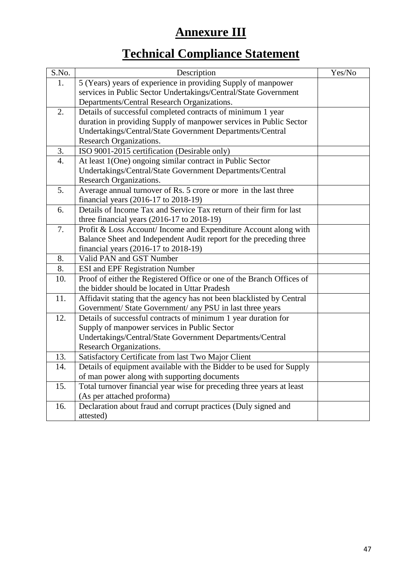# **Annexure III**

# **Technical Compliance Statement**

| S.No.            | Description                                                           | Yes/No |
|------------------|-----------------------------------------------------------------------|--------|
| 1.               | 5 (Years) years of experience in providing Supply of manpower         |        |
|                  | services in Public Sector Undertakings/Central/State Government       |        |
|                  | Departments/Central Research Organizations.                           |        |
| 2.               | Details of successful completed contracts of minimum 1 year           |        |
|                  | duration in providing Supply of manpower services in Public Sector    |        |
|                  | Undertakings/Central/State Government Departments/Central             |        |
|                  | Research Organizations.                                               |        |
| 3.               | ISO 9001-2015 certification (Desirable only)                          |        |
| $\overline{4}$ . | At least 1(One) ongoing similar contract in Public Sector             |        |
|                  | Undertakings/Central/State Government Departments/Central             |        |
|                  | <b>Research Organizations.</b>                                        |        |
| 5.               | Average annual turnover of Rs. 5 crore or more in the last three      |        |
|                  | financial years (2016-17 to 2018-19)                                  |        |
| 6.               | Details of Income Tax and Service Tax return of their firm for last   |        |
|                  | three financial years $(2016-17$ to $2018-19)$                        |        |
| 7.               | Profit & Loss Account/ Income and Expenditure Account along with      |        |
|                  | Balance Sheet and Independent Audit report for the preceding three    |        |
|                  | financial years (2016-17 to 2018-19)                                  |        |
| 8.               | Valid PAN and GST Number                                              |        |
| 8.               | <b>ESI</b> and EPF Registration Number                                |        |
| 10.              | Proof of either the Registered Office or one of the Branch Offices of |        |
|                  | the bidder should be located in Uttar Pradesh                         |        |
| 11.              | Affidavit stating that the agency has not been blacklisted by Central |        |
|                  | Government/ State Government/ any PSU in last three years             |        |
| 12.              | Details of successful contracts of minimum 1 year duration for        |        |
|                  | Supply of manpower services in Public Sector                          |        |
|                  | Undertakings/Central/State Government Departments/Central             |        |
|                  | Research Organizations.                                               |        |
| 13.              | Satisfactory Certificate from last Two Major Client                   |        |
| 14.              | Details of equipment available with the Bidder to be used for Supply  |        |
|                  | of man power along with supporting documents                          |        |
| 15.              | Total turnover financial year wise for preceding three years at least |        |
|                  | (As per attached proforma)                                            |        |
| 16.              | Declaration about fraud and corrupt practices (Duly signed and        |        |
|                  | attested)                                                             |        |